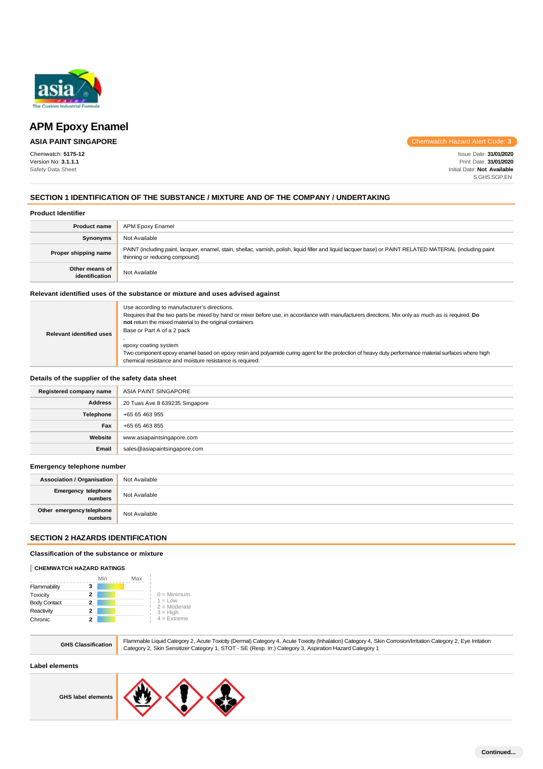

## **ASIA PAINT SINGAPORE**

Chemwatch: **5175-12** Version No: **3.1.1.1** Safety Data Sheet

Chemwatch Hazard Alert Code: **3**

Issue Date: **31/01/2020** Print Date: **31/01/2020** Initial Date: **Not Available** S.GHS.SGP.EN

## **SECTION 1 IDENTIFICATION OF THE SUBSTANCE / MIXTURE AND OF THE COMPANY / UNDERTAKING**

### **Product Identifier**

| <b>Product name</b>              | <b>APM Epoxy Enamel</b>                                                                                                                                                                       |
|----------------------------------|-----------------------------------------------------------------------------------------------------------------------------------------------------------------------------------------------|
| Synonyms                         | Not Available                                                                                                                                                                                 |
| Proper shipping name             | PAINT (including paint, lacquer, enamel, stain, shellac, varnish, polish, liquid filler and liquid lacquer base) or PAINT RELATED MATERIAL (including paint<br>thinning or reducing compound) |
| Other means of<br>identification | Not Available                                                                                                                                                                                 |

## **Relevant identified uses of the substance or mixture and uses advised against**

| <b>Relevant identified uses</b> | Use according to manufacturer's directions.<br>Requires that the two parts be mixed by hand or mixer before use, in accordance with manufacturers directions. Mix only as much as is required. Do<br>not return the mixed material to the original containers<br>Base or Part A of a 2 pack<br>epoxy coating system<br>Two component epoxy enamel based on epoxy resin and polyamide curing agent for the protection of heavy duty performance material surfaces where high |
|---------------------------------|-----------------------------------------------------------------------------------------------------------------------------------------------------------------------------------------------------------------------------------------------------------------------------------------------------------------------------------------------------------------------------------------------------------------------------------------------------------------------------|
|                                 | chemical resistance and moisture resistance is required.                                                                                                                                                                                                                                                                                                                                                                                                                    |

## **Details of the supplier of the safety data sheet**

| Registered company name | ASIA PAINT SINGAPORE           |
|-------------------------|--------------------------------|
| <b>Address</b>          | 20 Tuas Ave 8 639235 Singapore |
| Telephone               | +65 65 463 955                 |
| Fax                     | +65 65 463 855                 |
| Website                 | www.asiapaintsingapore.com     |
| Email                   | sales@asiapaintsingapore.com   |

### **Emergency telephone number**

| <b>Association / Organisation</b>    | Not Available |
|--------------------------------------|---------------|
| Emergency telephone<br>numbers       | Not Available |
| Other emergency telephone<br>numbers | Not Available |

## **SECTION 2 HAZARDS IDENTIFICATION**

## **Classification of the substance or mixture**

#### **CHEMWATCH HAZARD RATINGS**

|                     |   | Min | Max |                              |
|---------------------|---|-----|-----|------------------------------|
| Flammability        | 3 |     |     |                              |
| Toxicity            | 2 |     |     | $0 =$ Minimum                |
| <b>Body Contact</b> | 2 |     |     | $1 = L$ ow<br>$2 =$ Moderate |
| Reactivity          | 2 |     |     | $3 = High$                   |
| Chronic             |   |     |     | $4$ = Extreme                |

|  | GHS Classi |
|--|------------|
|  |            |
|  |            |

GHS Classification Flammable Liquid Category 2, Acute Toxicity (Dermal) Category 4, Acute Toxicity (Inhalation) Category 4, Skin Corrosion/Irritation Category 2, Eye Irritation Category 2, Skin Sensitizer Category 1, STOT - SE (Resp. Irr.) Category 3, Aspiration Hazard Category 1

## **Label elements**



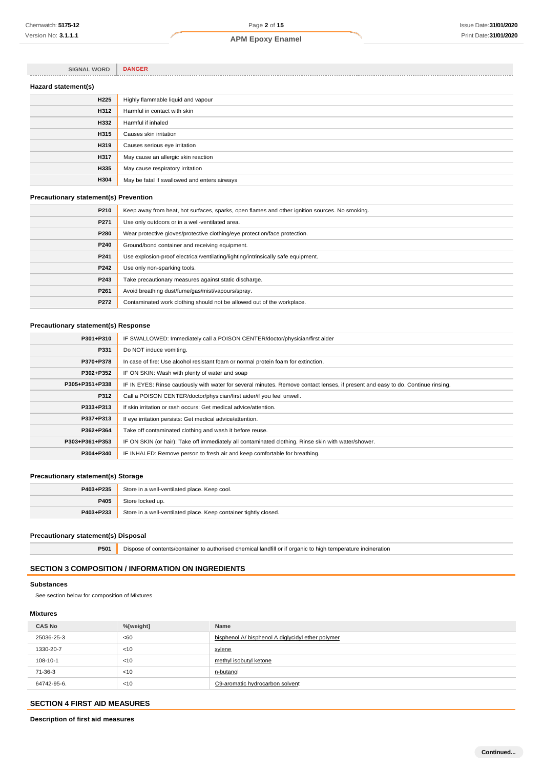| <b>SIGNAL WORD</b>  | <b>DANGER</b>                                |
|---------------------|----------------------------------------------|
| Hazard statement(s) |                                              |
| <b>H225</b>         | Highly flammable liquid and vapour           |
| <b>H312</b>         | Harmful in contact with skin                 |
| H332                | Harmful if inhaled                           |
| H315                | Causes skin irritation                       |
| H319                | Causes serious eye irritation                |
| H317                | May cause an allergic skin reaction          |
| H335                | May cause respiratory irritation             |
| H304                | May be fatal if swallowed and enters airways |

## **Precautionary statement(s) Prevention**

| P210 | Keep away from heat, hot surfaces, sparks, open flames and other ignition sources. No smoking. |
|------|------------------------------------------------------------------------------------------------|
| P271 | Use only outdoors or in a well-ventilated area.                                                |
| P280 | Wear protective gloves/protective clothing/eye protection/face protection.                     |
| P240 | Ground/bond container and receiving equipment.                                                 |
| P241 | Use explosion-proof electrical/ventilating/lighting/intrinsically safe equipment.              |
| P242 | Use only non-sparking tools.                                                                   |
| P243 | Take precautionary measures against static discharge.                                          |
| P261 | Avoid breathing dust/fume/gas/mist/vapours/spray.                                              |
| P272 | Contaminated work clothing should not be allowed out of the workplace.                         |

## **Precautionary statement(s) Response**

| P301+P310      | IF SWALLOWED: Immediately call a POISON CENTER/doctor/physician/first aider                                                      |  |  |  |
|----------------|----------------------------------------------------------------------------------------------------------------------------------|--|--|--|
| P331           | Do NOT induce vomiting.                                                                                                          |  |  |  |
| P370+P378      | In case of fire: Use alcohol resistant foam or normal protein foam for extinction.                                               |  |  |  |
| P302+P352      | IF ON SKIN: Wash with plenty of water and soap                                                                                   |  |  |  |
| P305+P351+P338 | IF IN EYES: Rinse cautiously with water for several minutes. Remove contact lenses, if present and easy to do. Continue rinsing. |  |  |  |
| P312           | Call a POISON CENTER/doctor/physician/first aider/if you feel unwell.                                                            |  |  |  |
| P333+P313      | If skin irritation or rash occurs: Get medical advice/attention.                                                                 |  |  |  |
| P337+P313      | If eye irritation persists: Get medical advice/attention.                                                                        |  |  |  |
| P362+P364      | Take off contaminated clothing and wash it before reuse.                                                                         |  |  |  |
| P303+P361+P353 | IF ON SKIN (or hair): Take off immediately all contaminated clothing. Rinse skin with water/shower.                              |  |  |  |
| P304+P340      | IF INHALED: Remove person to fresh air and keep comfortable for breathing.                                                       |  |  |  |
|                |                                                                                                                                  |  |  |  |

## **Precautionary statement(s) Storage**

| P403+P235 | Store in a well-ventilated place. Keep cool.                     |
|-----------|------------------------------------------------------------------|
| P405      | Store locked up.                                                 |
| P403+P233 | Store in a well-ventilated place. Keep container tightly closed. |

## **Precautionary statement(s) Disposal**

**P501** Dispose of contents/container to authorised chemical landfill or if organic to high temperature incineration

## **SECTION 3 COMPOSITION / INFORMATION ON INGREDIENTS**

## **Substances**

See section below for composition of Mixtures

## **Mixtures**

| <b>CAS No</b> | %[weight] | <b>Name</b>                                       |
|---------------|-----------|---------------------------------------------------|
| 25036-25-3    | <60       | bisphenol A/ bisphenol A diglycidyl ether polymer |
| 1330-20-7     | < 10      | xylene                                            |
| 108-10-1      | < 10      | methyl isobutyl ketone                            |
| 71-36-3       | < 10      | n-butanol                                         |
| 64742-95-6.   | < 10      | C9-aromatic hydrocarbon solvent                   |

## **SECTION 4 FIRST AID MEASURES**

**Description of first aid measures**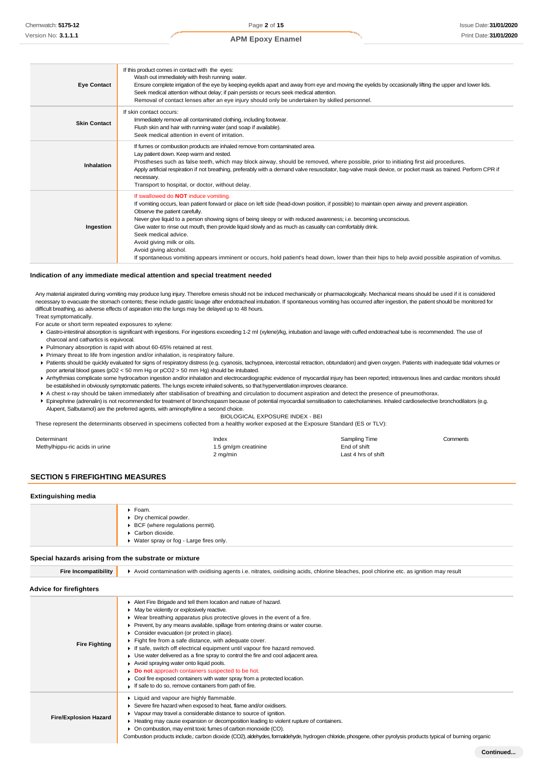| <b>Eye Contact</b>  | If this product comes in contact with the eyes:<br>Wash out immediately with fresh running water.<br>Ensure complete irrigation of the eye by keeping eyelids apart and away from eye and moving the eyelids by occasionally lifting the upper and lower lids.<br>Seek medical attention without delay; if pain persists or recurs seek medical attention.<br>Removal of contact lenses after an eye injury should only be undertaken by skilled personnel.                                                                                                                                                                                                                                            |
|---------------------|--------------------------------------------------------------------------------------------------------------------------------------------------------------------------------------------------------------------------------------------------------------------------------------------------------------------------------------------------------------------------------------------------------------------------------------------------------------------------------------------------------------------------------------------------------------------------------------------------------------------------------------------------------------------------------------------------------|
| <b>Skin Contact</b> | If skin contact occurs:<br>Immediately remove all contaminated clothing, including footwear.<br>Flush skin and hair with running water (and soap if available).<br>Seek medical attention in event of irritation.                                                                                                                                                                                                                                                                                                                                                                                                                                                                                      |
| Inhalation          | If fumes or combustion products are inhaled remove from contaminated area.<br>Lay patient down. Keep warm and rested.<br>Prostheses such as false teeth, which may block airway, should be removed, where possible, prior to initiating first aid procedures.<br>Apply artificial respiration if not breathing, preferably with a demand valve resuscitator, bag-valve mask device, or pocket mask as trained. Perform CPR if<br>necessary.<br>Transport to hospital, or doctor, without delay.                                                                                                                                                                                                        |
| Ingestion           | If swallowed do <b>NOT</b> induce vomiting.<br>If vomiting occurs, lean patient forward or place on left side (head-down position, if possible) to maintain open airway and prevent aspiration.<br>Observe the patient carefully.<br>Never give liquid to a person showing signs of being sleepy or with reduced awareness; i.e. becoming unconscious.<br>Give water to rinse out mouth, then provide liquid slowly and as much as casualty can comfortably drink.<br>Seek medical advice.<br>Avoid giving milk or oils.<br>Avoid giving alcohol.<br>If spontaneous vomiting appears imminent or occurs, hold patient's head down, lower than their hips to help avoid possible aspiration of vomitus. |

#### **Indication of any immediate medical attention and special treatment needed**

Any material aspirated during vomiting may produce lung injury. Therefore emesis should not be induced mechanically or pharmacologically. Mechanical means should be used if it is considered necessary to evacuate the stomach contents; these include gastric lavage after endotracheal intubation. If spontaneous vomiting has occurred after ingestion, the patient should be monitored for difficult breathing, as adverse effects of aspiration into the lungs may be delayed up to 48 hours. Treat symptomatically.

For acute or short term repeated exposures to xylene:

- Gastro-intestinal absorption is significant with ingestions. For ingestions exceeding 1-2 ml (xylene)/kg, intubation and lavage with cuffed endotracheal tube is recommended. The use of charcoal and cathartics is equivocal.
- Pulmonary absorption is rapid with about 60-65% retained at rest.
- Primary threat to life from ingestion and/or inhalation, is respiratory failure.
- Patients should be quickly evaluated for signs of respiratory distress (e.g. cyanosis, tachypnoea, intercostal retraction, obtundation) and given oxygen. Patients with inadequate tidal volumes or poor arterial blood gases (pO2 < 50 mm Hg or pCO2 > 50 mm Hg) should be intubated.
- ▶ Arrhythmias complicate some hydrocarbon ingestion and/or inhalation and electrocardiographic evidence of myocardial injury has been reported; intravenous lines and cardiac monitors should be established in obviously symptomatic patients. The lungs excrete inhaled solvents, so that hyperventilation improves clearance.
- A chest x-ray should be taken immediately after stabilisation of breathing and circulation to document aspiration and detect the presence of pneumothorax.
- Epinephrine (adrenalin) is not recommended for treatment of bronchospasm because of potential myocardial sensitisation to catecholamines. Inhaled cardioselective bronchodilators (e.g. Alupent, Salbutamol) are the preferred agents, with aminophylline a second choice.

BIOLOGICAL EXPOSURE INDEX - BEI

These represent the determinants observed in specimens collected from a healthy worker exposed at the Exposure Standard (ES or TLV):

| Determinant                    | Index                | Sampling Time       | Comments |
|--------------------------------|----------------------|---------------------|----------|
| Methylhippu-ric acids in urine | 1.5 gm/gm creatinine | End of shift        |          |
|                                | 2 mg/min             | Last 4 hrs of shift |          |

## **SECTION 5 FIREFIGHTING MEASURES**

#### **Extinguishing media**

| ▶ Foam.                                  |
|------------------------------------------|
| Dry chemical powder.                     |
| ▶ BCF (where regulations permit).        |
| Carbon dioxide.                          |
| ▶ Water spray or fog - Large fires only. |
|                                          |

#### **Special hazards arising from the substrate or mixture**

| <b>Fire Incompatibility</b>    | Avoid contamination with oxidising agents i.e. nitrates, oxidising acids, chlorine bleaches, pool chlorine etc. as ignition may result                                                                                                                                                                                                                                                                                                                                                                                                                                                                                                                                                                                                                                                                               |
|--------------------------------|----------------------------------------------------------------------------------------------------------------------------------------------------------------------------------------------------------------------------------------------------------------------------------------------------------------------------------------------------------------------------------------------------------------------------------------------------------------------------------------------------------------------------------------------------------------------------------------------------------------------------------------------------------------------------------------------------------------------------------------------------------------------------------------------------------------------|
| <b>Advice for firefighters</b> |                                                                                                                                                                                                                                                                                                                                                                                                                                                                                                                                                                                                                                                                                                                                                                                                                      |
| <b>Fire Fighting</b>           | Alert Fire Brigade and tell them location and nature of hazard.<br>• May be violently or explosively reactive.<br>• Wear breathing apparatus plus protective gloves in the event of a fire.<br>▶ Prevent, by any means available, spillage from entering drains or water course.<br>Consider evacuation (or protect in place).<br>Fight fire from a safe distance, with adequate cover.<br>If safe, switch off electrical equipment until vapour fire hazard removed.<br>$\blacktriangleright$ Use water delivered as a fine spray to control the fire and cool adjacent area.<br>Avoid spraying water onto liquid pools.<br>Do not approach containers suspected to be hot.<br>• Cool fire exposed containers with water spray from a protected location.<br>If safe to do so, remove containers from path of fire. |
| <b>Fire/Explosion Hazard</b>   | ▶ Liquid and vapour are highly flammable.<br>Severe fire hazard when exposed to heat, flame and/or oxidisers.<br>• Vapour may travel a considerable distance to source of ignition.<br>Heating may cause expansion or decomposition leading to violent rupture of containers.<br>• On combustion, may emit toxic fumes of carbon monoxide (CO).<br>Combustion products include,: carbon dioxide (CO2), aldehydes, formaldehyde, hydrogen chloride, phosgene, other pyrolysis products typical of burning organic                                                                                                                                                                                                                                                                                                     |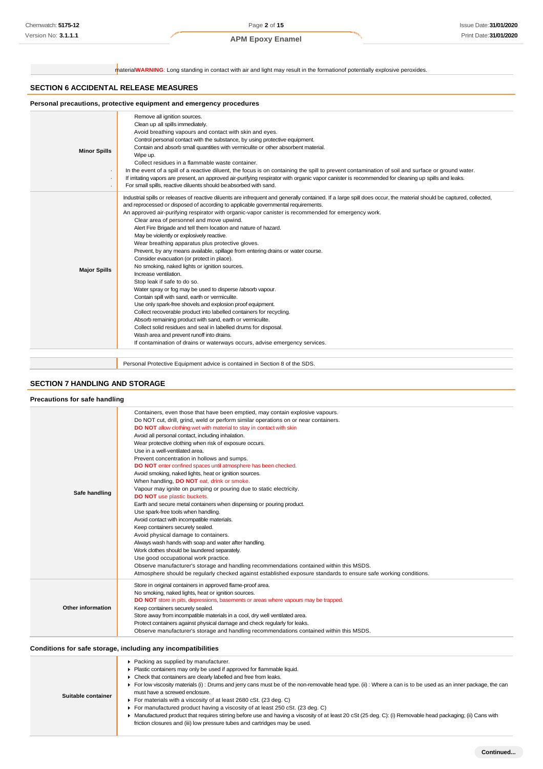|  |  | materialWARNING: Long standing in contact with air and light may result in the formationof potentially explosive peroxides. |  |  |
|--|--|-----------------------------------------------------------------------------------------------------------------------------|--|--|
|--|--|-----------------------------------------------------------------------------------------------------------------------------|--|--|

## **SECTION 6 ACCIDENTAL RELEASE MEASURES**

|                     | Personal precautions, protective equipment and emergency procedures                                                                                                                                                                                                                                                                                                                                                                                                                                                                                                                                                                                                                                                                                                                                                                                                                                                                                                                                                                                                                                                                                                                                                                                                                                                                       |
|---------------------|-------------------------------------------------------------------------------------------------------------------------------------------------------------------------------------------------------------------------------------------------------------------------------------------------------------------------------------------------------------------------------------------------------------------------------------------------------------------------------------------------------------------------------------------------------------------------------------------------------------------------------------------------------------------------------------------------------------------------------------------------------------------------------------------------------------------------------------------------------------------------------------------------------------------------------------------------------------------------------------------------------------------------------------------------------------------------------------------------------------------------------------------------------------------------------------------------------------------------------------------------------------------------------------------------------------------------------------------|
| <b>Minor Spills</b> | Remove all ignition sources.<br>Clean up all spills immediately.<br>Avoid breathing vapours and contact with skin and eyes.<br>Control personal contact with the substance, by using protective equipment.<br>Contain and absorb small quantities with vermiculite or other absorbent material.<br>Wipe up.<br>Collect residues in a flammable waste container.<br>In the event of a spill of a reactive diluent, the focus is on containing the spill to prevent contamination of soil and surface or ground water.<br>If irritating vapors are present, an approved air-purifying respirator with organic vapor canister is recommended for cleaning up spills and leaks.<br>For small spills, reactive diluents should beabsorbed with sand.                                                                                                                                                                                                                                                                                                                                                                                                                                                                                                                                                                                           |
| <b>Major Spills</b> | Industrial spills or releases of reactive diluents are infrequent and generally contained. If a large spill does occur, the material should be captured, collected,<br>and reprocessed or disposed of according to applicable governmental requirements.<br>An approved air-purifying respirator with organic-vapor canister is recommended for emergency work.<br>Clear area of personnel and move upwind.<br>Alert Fire Brigade and tell them location and nature of hazard.<br>May be violently or explosively reactive.<br>Wear breathing apparatus plus protective gloves.<br>Prevent, by any means available, spillage from entering drains or water course.<br>Consider evacuation (or protect in place).<br>No smoking, naked lights or ignition sources.<br>Increase ventilation.<br>Stop leak if safe to do so.<br>Water spray or fog may be used to disperse /absorb vapour.<br>Contain spill with sand, earth or vermiculite.<br>Use only spark-free shovels and explosion proof equipment.<br>Collect recoverable product into labelled containers for recycling.<br>Absorb remaining product with sand, earth or vermiculite.<br>Collect solid residues and seal in labelled drums for disposal.<br>Wash area and prevent runoff into drains.<br>If contamination of drains or waterways occurs, advise emergency services. |
|                     |                                                                                                                                                                                                                                                                                                                                                                                                                                                                                                                                                                                                                                                                                                                                                                                                                                                                                                                                                                                                                                                                                                                                                                                                                                                                                                                                           |

Personal Protective Equipment advice is contained in Section 8 of the SDS.

## **SECTION 7 HANDLING AND STORAGE**

| Precautions for safe handling |                                                                                                                                                                                                                                                                                                                                                                                                                                                                                                                                                                                                                                                                                                                                                                                                                                                                                                                                                                                                                                                                                                                                                                                                                                                                                                                                        |
|-------------------------------|----------------------------------------------------------------------------------------------------------------------------------------------------------------------------------------------------------------------------------------------------------------------------------------------------------------------------------------------------------------------------------------------------------------------------------------------------------------------------------------------------------------------------------------------------------------------------------------------------------------------------------------------------------------------------------------------------------------------------------------------------------------------------------------------------------------------------------------------------------------------------------------------------------------------------------------------------------------------------------------------------------------------------------------------------------------------------------------------------------------------------------------------------------------------------------------------------------------------------------------------------------------------------------------------------------------------------------------|
| Safe handling                 | Containers, even those that have been emptied, may contain explosive vapours.<br>Do NOT cut, drill, grind, weld or perform similar operations on or near containers.<br>DO NOT allow clothing wet with material to stay in contact with skin<br>Avoid all personal contact, including inhalation.<br>Wear protective clothing when risk of exposure occurs.<br>Use in a well-ventilated area.<br>Prevent concentration in hollows and sumps.<br>DO NOT enter confined spaces until atmosphere has been checked.<br>Avoid smoking, naked lights, heat or ignition sources.<br>When handling, DO NOT eat, drink or smoke.<br>Vapour may ignite on pumping or pouring due to static electricity.<br>DO NOT use plastic buckets.<br>Earth and secure metal containers when dispensing or pouring product.<br>Use spark-free tools when handling.<br>Avoid contact with incompatible materials.<br>Keep containers securely sealed.<br>Avoid physical damage to containers.<br>Always wash hands with soap and water after handling.<br>Work clothes should be laundered separately.<br>Use good occupational work practice.<br>Observe manufacturer's storage and handling recommendations contained within this MSDS.<br>Atmosphere should be regularly checked against established exposure standards to ensure safe working conditions. |
| Other information             | Store in original containers in approved flame-proof area.<br>No smoking, naked lights, heat or ignition sources.<br>DO NOT store in pits, depressions, basements or areas where vapours may be trapped.<br>Keep containers securely sealed.<br>Store away from incompatible materials in a cool, dry well ventilated area.<br>Protect containers against physical damage and check regularly for leaks.<br>Observe manufacturer's storage and handling recommendations contained within this MSDS.                                                                                                                                                                                                                                                                                                                                                                                                                                                                                                                                                                                                                                                                                                                                                                                                                                    |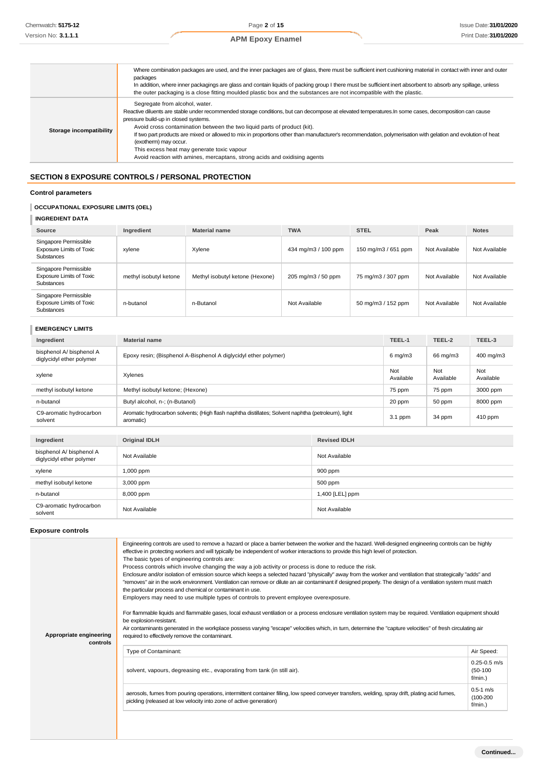## Where combination packages are used, and the inner packages are of glass, there must be sufficient inert cushioning material in contact with inner and outer packages In addition, where inner packagings are glass and contain liquids of packing group I there must be sufficient inert absorbent to absorb any spillage, unless the outer packaging is a close fitting moulded plastic box and the substances are not incompatible with the plastic. **Storage incompatibility** Segregate from alcohol, water. Reactive diluents are stable under recommended storage conditions, but can decompose at elevated temperatures.In some cases, decomposition can cause pressure build-up in closed systems. Avoid cross contamination between the two liquid parts of product (kit). If two part products are mixed or allowed to mix in proportions other than manufacturer's recommendation, polymerisation with gelation and evolution of heat

## **SECTION 8 EXPOSURE CONTROLS / PERSONAL PROTECTION**

(exotherm) may occur.

This excess heat may generate toxic vapour

Avoid reaction with amines, mercaptans, strong acids and oxidising agents

#### **Control parameters**

#### **OCCUPATIONAL EXPOSURE LIMITS (OEL)**

**INGREDIENT DATA**

| Source                                                                        | Ingredient             | <b>Material name</b>            | <b>TWA</b>          | <b>STEL</b>         | Peak          | <b>Notes</b>  |
|-------------------------------------------------------------------------------|------------------------|---------------------------------|---------------------|---------------------|---------------|---------------|
| Singapore Permissible<br><b>Exposure Limits of Toxic</b><br><b>Substances</b> | xylene                 | Xylene                          | 434 mg/m3 / 100 ppm | 150 mg/m3 / 651 ppm | Not Available | Not Available |
| Singapore Permissible<br><b>Exposure Limits of Toxic</b><br><b>Substances</b> | methyl isobutyl ketone | Methyl isobutyl ketone (Hexone) | 205 mg/m3 / 50 ppm  | 75 mg/m3 / 307 ppm  | Not Available | Not Available |
| Singapore Permissible<br><b>Exposure Limits of Toxic</b><br><b>Substances</b> | n-butanol              | n-Butanol                       | Not Available       | 50 mg/m3 / 152 ppm  | Not Available | Not Available |

#### **EMERGENCY LIMITS** I

| Ingredient                                           | <b>Material name</b>                                                                                            |                     | TEEL-1           | TEEL-2           | TEEL-3           |
|------------------------------------------------------|-----------------------------------------------------------------------------------------------------------------|---------------------|------------------|------------------|------------------|
| bisphenol A/ bisphenol A<br>diglycidyl ether polymer | Epoxy resin; (Bisphenol A-Bisphenol A diglycidyl ether polymer)                                                 |                     | $6$ mg/m $3$     | 66 mg/m3         | 400 mg/m3        |
| xylene                                               | Xylenes                                                                                                         |                     | Not<br>Available | Not<br>Available | Not<br>Available |
| methyl isobutyl ketone                               | Methyl isobutyl ketone; (Hexone)                                                                                |                     | 75 ppm           | 75 ppm           | 3000 ppm         |
| n-butanol                                            | Butyl alcohol, n-; (n-Butanol)                                                                                  |                     | 20 ppm           | 50 ppm           | 8000 ppm         |
| C9-aromatic hydrocarbon<br>solvent                   | Aromatic hydrocarbon solvents; (High flash naphtha distillates; Solvent naphtha (petroleum), light<br>aromatic) |                     | $3.1$ ppm        | 34 ppm           | 410 ppm          |
|                                                      |                                                                                                                 |                     |                  |                  |                  |
| Ingredient                                           | <b>Original IDLH</b>                                                                                            | <b>Revised IDLH</b> |                  |                  |                  |
| bisphenol A/ bisphenol A<br>diglycidyl ether polymer | Not Available                                                                                                   | Not Available       |                  |                  |                  |
| xylene                                               | 1,000 ppm                                                                                                       | 900 ppm             |                  |                  |                  |
| methyl isobutyl ketone                               | 3,000 ppm<br>500 ppm                                                                                            |                     |                  |                  |                  |
| n-butanol                                            | 8,000 ppm                                                                                                       | 1,400 [LEL] ppm     |                  |                  |                  |
| C9-aromatic hydrocarbon<br>solvent                   | Not Available                                                                                                   | Not Available       |                  |                  |                  |

#### **Exposure controls**

| Appropriate engineering<br>controls | Engineering controls are used to remove a hazard or place a barrier between the worker and the hazard. Well-designed engineering controls can be highly<br>effective in protecting workers and will typically be independent of worker interactions to provide this high level of protection.<br>The basic types of engineering controls are:<br>Process controls which involve changing the way a job activity or process is done to reduce the risk.<br>Enclosure and/or isolation of emission source which keeps a selected hazard "physically" away from the worker and ventilation that strategically "adds" and<br>"removes" air in the work environment. Ventilation can remove or dilute an air contaminant if designed properly. The design of a ventilation system must match<br>the particular process and chemical or contaminant in use.<br>Employers may need to use multiple types of controls to prevent employee overexposure.<br>For flammable liquids and flammable gases, local exhaust ventilation or a process enclosure ventilation system may be required. Ventilation equipment should<br>be explosion-resistant.<br>Air contaminants generated in the workplace possess varying "escape" velocities which, in turn, determine the "capture velocities" of fresh circulating air<br>required to effectively remove the contaminant. |                                              |
|-------------------------------------|--------------------------------------------------------------------------------------------------------------------------------------------------------------------------------------------------------------------------------------------------------------------------------------------------------------------------------------------------------------------------------------------------------------------------------------------------------------------------------------------------------------------------------------------------------------------------------------------------------------------------------------------------------------------------------------------------------------------------------------------------------------------------------------------------------------------------------------------------------------------------------------------------------------------------------------------------------------------------------------------------------------------------------------------------------------------------------------------------------------------------------------------------------------------------------------------------------------------------------------------------------------------------------------------------------------------------------------------------------------|----------------------------------------------|
|                                     | Type of Contaminant:                                                                                                                                                                                                                                                                                                                                                                                                                                                                                                                                                                                                                                                                                                                                                                                                                                                                                                                                                                                                                                                                                                                                                                                                                                                                                                                                         | Air Speed:                                   |
|                                     | solvent, vapours, degreasing etc., evaporating from tank (in still air).                                                                                                                                                                                                                                                                                                                                                                                                                                                                                                                                                                                                                                                                                                                                                                                                                                                                                                                                                                                                                                                                                                                                                                                                                                                                                     | $0.25 - 0.5$ m/s<br>$(50-100)$<br>$f/min.$ ) |
|                                     | aerosols, fumes from pouring operations, intermittent container filling, low speed conveyer transfers, welding, spray drift, plating acid fumes,<br>pickling (released at low velocity into zone of active generation)                                                                                                                                                                                                                                                                                                                                                                                                                                                                                                                                                                                                                                                                                                                                                                                                                                                                                                                                                                                                                                                                                                                                       | $0.5 - 1$ m/s<br>$(100 - 200)$<br>$f/min.$ ) |
|                                     |                                                                                                                                                                                                                                                                                                                                                                                                                                                                                                                                                                                                                                                                                                                                                                                                                                                                                                                                                                                                                                                                                                                                                                                                                                                                                                                                                              |                                              |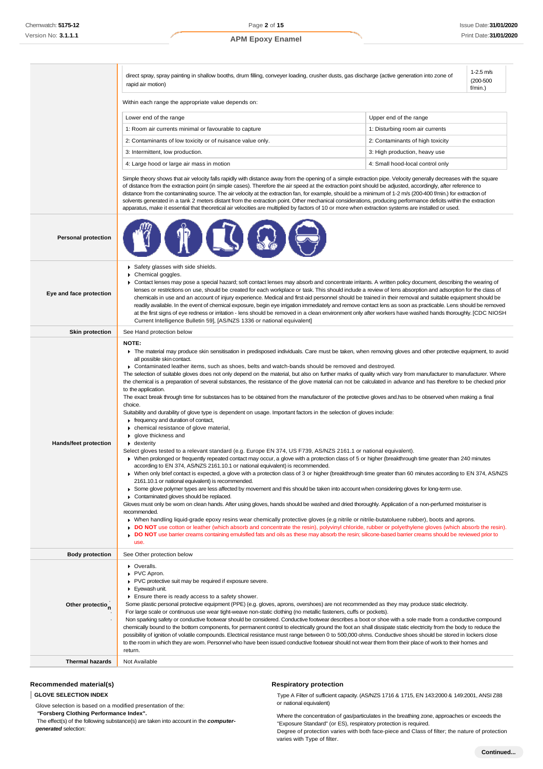## direct spray, spray painting in shallow booths, drum filling, conveyer loading, crusher dusts, gas discharge (active generation into zone of 1-2.5 m/s rapid air motion) (200-500 km) (200-600 km) (200-600 km) (200-600 km) (200-500 km) (200-500 km) (200-500 km) (<br>Anii al-Amii al-Amii al-Amii al-Amii al-Amii al-Amii al-Amii al-Amii al-Amii al-Amii al-Amii al-Amii al-Amii a f/min.) Within each range the appropriate value depends on: Simple theory shows that air velocity falls rapidly with distance away from the opening of a simple extraction pipe. Velocity generally decreases with the square of distance from the extraction point (in simple cases). Therefore the air speed at the extraction point should be adjusted, accordingly, after reference to distance from the contaminating source. The air velocity at the extraction fan, for example, should be a minimum of 1-2 m/s (200-400 f/min.) for extraction of solvents generated in a tank 2 meters distant from the extraction point. Other mechanical considerations, producing performance deficits within the extraction apparatus, make it essential that theoretical air velocities are multiplied by factors of 10 or more when extraction systems are installed or used. **Personal protection Eye and face protection** ▶ Safety glasses with side shields. **Chemical goggles.** Contact lenses may pose a special hazard; soft contact lenses may absorb and concentrate irritants. A written policy document, describing the wearing of lenses or restrictions on use, should be created for each workplace or task. This should include a review of lens absorption and adsorption for the class of chemicals in use and an account of injury experience. Medical and first-aid personnel should be trained in their removal and suitable equipment should be readily available. In the event of chemical exposure, begin eye irrigation immediately and remove contact lens as soon as practicable. Lens should be removed at the first signs of eye redness or irritation - lens should be removed in a clean environment only after workers have washed hands thoroughly. [CDC NIOSH Current Intelligence Bulletin 59], [AS/NZS 1336 or national equivalent] **Skin protection** See Hand protection below **Hands/feet protection NOTE:** The material may produce skin sensitisation in predisposed individuals. Care must be taken, when removing gloves and other protective equipment, to avoid all possible skin contact. ▶ Contaminated leather items, such as shoes, belts and watch-bands should be removed and destroyed The selection of suitable gloves does not only depend on the material, but also on further marks of quality which vary from manufacturer to manufacturer. Where the chemical is a preparation of several substances, the resistance of the glove material can not be calculated in advance and has therefore to be checked prior to the application The exact break through time for substances has to be obtained from the manufacturer of the protective gloves and.has to be observed when making a final choice. Suitability and durability of glove type is dependent on usage. Important factors in the selection of gloves include: Frequency and duration of contact. chemical resistance of glove material, glove thickness and **dexterity** Select gloves tested to a relevant standard (e.g. Europe EN 374, US F739, AS/NZS 2161.1 or national equivalent). ▶ When prolonged or frequently repeated contact may occur, a glove with a protection class of 5 or higher (breakthrough time greater than 240 minutes according to EN 374, AS/NZS 2161.10.1 or national equivalent) is recommended. When only brief contact is expected, a glove with a protection class of 3 or higher (breakthrough time greater than 60 minutes according to EN 374, AS/NZS 2161.10.1 or national equivalent) is recommended. Some glove polymer types are less affected by movement and this should be taken into account when considering gloves for long-term use. **F** Contaminated gloves should be replaced. Gloves must only be worn on clean hands. After using gloves, hands should be washed and dried thoroughly. Application of a non-perfumed moisturiser is recommended. When handling liquid-grade epoxy resins wear chemically protective gloves (e.g nitrile or nitrile-butatoluene rubber), boots and aprons. **DO NOT** use cotton or leather (which absorb and concentrate the resin), polyvinyl chloride, rubber or polyethylene gloves (which absorb the resin). **DO NOT** use barrier creams containing emulsified fats and oils as these may absorb the resin; silicone-based barrier creams should be reviewed prior to use. **Body protection** See Other protection below Other protectio<sub>n</sub> · **C**veralls PVC Apron. PVC protective suit may be required if exposure severe. Eyewash unit. **Ensure there is ready access to a safety shower.** Some plastic personal protective equipment (PPE) (e.g. gloves, aprons, overshoes) are not recommended as they may produce static electricity. For large scale or continuous use wear tight-weave non-static clothing (no metallic fasteners, cuffs or pockets). Non sparking safety or conductive footwear should be considered. Conductive footwear describes a boot or shoe with a sole made from a conductive compound chemically bound to the bottom components, for permanent control to electrically ground the foot an shall dissipate static electricity from the body to reduce the possibility of ignition of volatile compounds. Electrical resistance must range between 0 to 500,000 ohms. Conductive shoes should be stored in lockers close to the room in which they are worn. Personnel who have been issued conductive footwear should not wear them from their place of work to their homes and return. **Thermal hazards** Not Available Lower end of the range Upper end of the range Upper end of the range Upper end of the range 1: Room air currents minimal or favourable to capture 1: Disturbing room air currents 2: Contaminants of low toxicity or of nuisance value only. 2: Contaminants of high toxicity 3: Intermittent, low production, and the state of the state of the state of the state of the state of the state of the state of the state of the state of the state of the state of the state of the state of the state of the 4: Large hood or large air mass in motion 4: Small hood-local control only

### **Recommended material(s)**

**GLOVE SELECTION INDEX**

Glove selection is based on a modified presentation of the:

*"***Forsberg Clothing Performance Index".**

The effect(s) of the following substance(s) are taken into account in the *computergenerated* selection:

## **Respiratory protection**

Type A Filter of sufficient capacity. (AS/NZS 1716 & 1715, EN 143:2000 & 149:2001, ANSI Z88 or national equivalent)

Where the concentration of gas/particulates in the breathing zone, approaches or exceeds the "Exposure Standard" (or ES), respiratory protection is required.

Degree of protection varies with both face-piece and Class of filter; the nature of protection varies with Type of filter.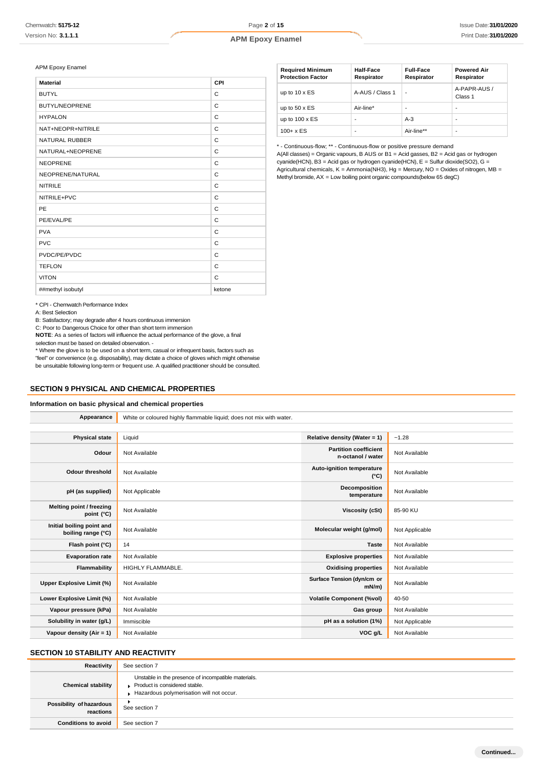APM Epoxy Enamel

| <b>Material</b>       | CPI    |
|-----------------------|--------|
| <b>BUTYL</b>          | C      |
| <b>BUTYL/NEOPRENE</b> | C      |
| <b>HYPALON</b>        | C      |
| NAT+NEOPR+NITRILE     | C      |
| NATURAL RUBBER        | C      |
| NATURAL+NEOPRENE      | C      |
| <b>NEOPRENE</b>       | C      |
| NEOPRENE/NATURAL      | C      |
| <b>NITRILE</b>        | C      |
| NITRILE+PVC           | C      |
| PE                    | C      |
| PE/EVAL/PE            | C      |
| <b>PVA</b>            | C      |
| <b>PVC</b>            | C      |
| PVDC/PE/PVDC          | C      |
| <b>TEFLON</b>         | C      |
| <b>VITON</b>          | C      |
| ##methyl isobutyl     | ketone |

| <b>Required Minimum</b><br><b>Protection Factor</b> | <b>Half-Face</b><br>Respirator | <b>Full-Face</b><br>Respirator | <b>Powered Air</b><br>Respirator |
|-----------------------------------------------------|--------------------------------|--------------------------------|----------------------------------|
| up to $10 \times ES$                                | A-AUS / Class 1                |                                | A-PAPR-AUS /<br>Class 1          |
| up to $50 \times ES$                                | Air-line*                      | $\overline{\phantom{0}}$       | ٠                                |
| up to $100 \times ES$                               | -                              | $A-3$                          | ۰                                |
| $100 + x ES$                                        | -                              | Air-line**                     | ٠                                |

\* - Continuous-flow; \*\* - Continuous-flow or positive pressure demand

A(All classes) = Organic vapours, B AUS or B1 = Acid gasses, B2 = Acid gas or hydrogen cyanide(HCN), B3 = Acid gas or hydrogen cyanide(HCN), E = Sulfur dioxide(SO2), G = Agricultural chemicals,  $K =$  Ammonia(NH3), Hg = Mercury, NO = Oxides of nitrogen, MB = Methyl bromide,  $AX = Low$  boiling point organic compounds(below 65 degC)

\* CPI - Chemwatch Performance Index

A: Best Selection

B: Satisfactory; may degrade after 4 hours continuous immersion

C: Poor to Dangerous Choice for other than short term immersion

**NOTE**: As a series of factors will influence the actual performance of the glove, a final selection must be based on detailed observation. -

\* Where the glove is to be used on a short term, casual or infrequent basis, factors such as "feel" or convenience (e.g. disposability), may dictate a choice of gloves which might otherwise be unsuitable following long-term or frequent use. A qualified practitioner should be consulted.

## **SECTION 9 PHYSICAL AND CHEMICAL PROPERTIES**

## **Information on basic physical and chemical properties**

| Appearance                                      | White or coloured highly flammable liquid; does not mix with water. |                                                   |                |
|-------------------------------------------------|---------------------------------------------------------------------|---------------------------------------------------|----------------|
|                                                 |                                                                     |                                                   |                |
| <b>Physical state</b>                           | Liquid                                                              | Relative density (Water = 1)                      | $-1.28$        |
| Odour                                           | Not Available                                                       | <b>Partition coefficient</b><br>n-octanol / water | Not Available  |
| <b>Odour threshold</b>                          | Not Available                                                       | <b>Auto-ignition temperature</b><br>$(^{\circ}C)$ | Not Available  |
| pH (as supplied)                                | Not Applicable                                                      | Decomposition<br>temperature                      | Not Available  |
| Melting point / freezing<br>point (°C)          | Not Available                                                       | <b>Viscosity (cSt)</b>                            | 85-90 KU       |
| Initial boiling point and<br>boiling range (°C) | Not Available                                                       | Molecular weight (g/mol)                          | Not Applicable |
| Flash point (°C)                                | 14                                                                  | <b>Taste</b>                                      | Not Available  |
| <b>Evaporation rate</b>                         | Not Available                                                       | <b>Explosive properties</b>                       | Not Available  |
| Flammability                                    | HIGHLY FLAMMABLE.                                                   | <b>Oxidising properties</b>                       | Not Available  |
| Upper Explosive Limit (%)                       | Not Available                                                       | Surface Tension (dyn/cm or<br>$mN/m$ )            | Not Available  |
| Lower Explosive Limit (%)                       | Not Available                                                       | <b>Volatile Component (%vol)</b>                  | 40-50          |
| Vapour pressure (kPa)                           | Not Available                                                       | Gas group                                         | Not Available  |
| Solubility in water (g/L)                       | Immiscible                                                          | pH as a solution (1%)                             | Not Applicable |
| Vapour density (Air = 1)                        | Not Available                                                       | VOC g/L                                           | Not Available  |

## **SECTION 10 STABILITY AND REACTIVITY**

| Reactivity                            | See section 7                                                                                                                    |
|---------------------------------------|----------------------------------------------------------------------------------------------------------------------------------|
| <b>Chemical stability</b>             | Unstable in the presence of incompatible materials.<br>Product is considered stable.<br>Hazardous polymerisation will not occur. |
| Possibility of hazardous<br>reactions | See section 7                                                                                                                    |
| <b>Conditions to avoid</b>            | See section 7                                                                                                                    |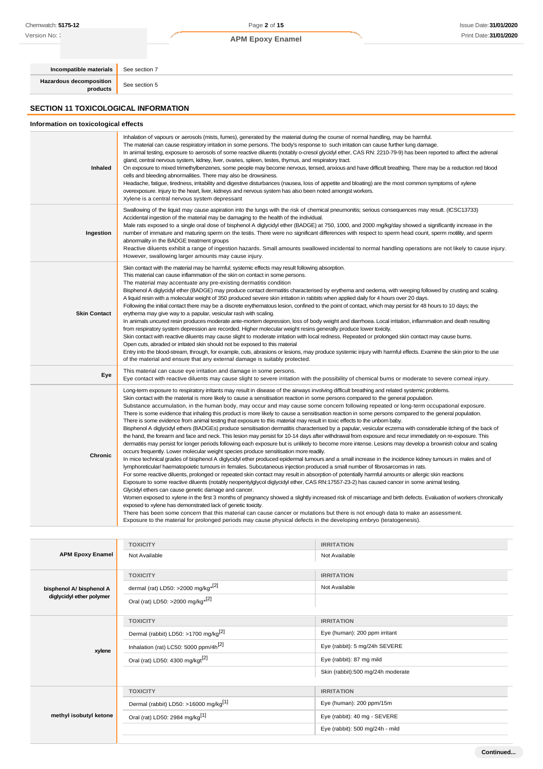Version No: **3** 

**APM Epoxy Enamel**

**Hazardous decomposition** See section 5 **SECTION 11 TOXICOLOGICAL INFORMATION**

**Incompatible materials** See section 7

| Information on toxicological effects |                                                                                                                                                                                                                                                                                                                                                                                                                                                                                                                                                                                                                                                                                                                                                                                                                                                                                                                                                                                                                                                                                                                                                                                                                                                                                                                                                                                                                                                                                                                                                                                                                                                                                                                                                                                                                                                                                                                                                                                                                                                                                                                                                                                                                                                                                                                                                                                                                                                                 |  |
|--------------------------------------|-----------------------------------------------------------------------------------------------------------------------------------------------------------------------------------------------------------------------------------------------------------------------------------------------------------------------------------------------------------------------------------------------------------------------------------------------------------------------------------------------------------------------------------------------------------------------------------------------------------------------------------------------------------------------------------------------------------------------------------------------------------------------------------------------------------------------------------------------------------------------------------------------------------------------------------------------------------------------------------------------------------------------------------------------------------------------------------------------------------------------------------------------------------------------------------------------------------------------------------------------------------------------------------------------------------------------------------------------------------------------------------------------------------------------------------------------------------------------------------------------------------------------------------------------------------------------------------------------------------------------------------------------------------------------------------------------------------------------------------------------------------------------------------------------------------------------------------------------------------------------------------------------------------------------------------------------------------------------------------------------------------------------------------------------------------------------------------------------------------------------------------------------------------------------------------------------------------------------------------------------------------------------------------------------------------------------------------------------------------------------------------------------------------------------------------------------------------------|--|
| Inhaled                              | Inhalation of vapours or aerosols (mists, fumes), generated by the material during the course of normal handling, may be harmful.<br>The material can cause respiratory irritation in some persons. The body's response to such irritation can cause further lung damage.<br>In animal testing, exposure to aerosols of some reactive diluents (notably o-cresol glycidyl ether, CAS RN: 2210-79-9) has been reported to affect the adrenal<br>gland, central nervous system, kidney, liver, ovaries, spleen, testes, thymus, and respiratory tract.<br>On exposure to mixed trimethylbenzenes, some people may become nervous, tensed, anxious and have difficult breathing. There may be a reduction red blood<br>cells and bleeding abnormalities. There may also be drowsiness.<br>Headache, fatigue, tiredness, irritability and digestive disturbances (nausea, loss of appetite and bloating) are the most common symptoms of xylene<br>overexposure. Injury to the heart, liver, kidneys and nervous system has also been noted amongst workers.<br>Xylene is a central nervous system depressant                                                                                                                                                                                                                                                                                                                                                                                                                                                                                                                                                                                                                                                                                                                                                                                                                                                                                                                                                                                                                                                                                                                                                                                                                                                                                                                                                       |  |
| Ingestion                            | Swallowing of the liquid may cause aspiration into the lungs with the risk of chemical pneumonitis; serious consequences may result. (ICSC13733)<br>Accidental ingestion of the material may be damaging to the health of the individual.<br>Male rats exposed to a single oral dose of bisphenol A diglycidyl ether (BADGE) at 750, 1000, and 2000 mg/kg/day showed a significantly increase in the<br>number of immature and maturing sperm on the testis. There were no significant differences with respect to sperm head count, sperm motility, and sperm<br>abnormality in the BADGE treatment groups<br>Reactive diluents exhibit a range of ingestion hazards. Small amounts swallowed incidental to normal handling operations are not likely to cause injury.<br>However, swallowing larger amounts may cause injury.                                                                                                                                                                                                                                                                                                                                                                                                                                                                                                                                                                                                                                                                                                                                                                                                                                                                                                                                                                                                                                                                                                                                                                                                                                                                                                                                                                                                                                                                                                                                                                                                                                 |  |
| <b>Skin Contact</b>                  | Skin contact with the material may be harmful; systemic effects may result following absorption.<br>This material can cause inflammation of the skin on contact in some persons.<br>The material may accentuate any pre-existing dermatitis condition<br>Bisphenol A diglycidyl ether (BADGE) may produce contact dermatitis characterised by erythema and oedema, with weeping followed by crusting and scaling.<br>A liquid resin with a molecular weight of 350 produced severe skin irritation in rabbits when applied daily for 4 hours over 20 days.<br>Following the initial contact there may be a discrete erythematous lesion, confined to the point of contact, which may persist for 48 hours to 10 days; the<br>erythema may give way to a papular, vesicular rash with scaling.<br>In animals uncured resin produces moderate ante-mortem depression, loss of body weight and diarrhoea. Local irritation, inflammation and death resulting<br>from respiratory system depression are recorded. Higher molecular weight resins generally produce lower toxicity.<br>Skin contact with reactive diluents may cause slight to moderate irritation with local redness. Repeated or prolonged skin contact may cause burns.<br>Open cuts, abraded or irritated skin should not be exposed to this material<br>Entry into the blood-stream, through, for example, cuts, abrasions or lesions, may produce systemic injury with harmful effects. Examine the skin prior to the use<br>of the material and ensure that any external damage is suitably protected.                                                                                                                                                                                                                                                                                                                                                                                                                                                                                                                                                                                                                                                                                                                                                                                                                                                                                        |  |
| Eye                                  | This material can cause eye irritation and damage in some persons.<br>Eye contact with reactive diluents may cause slight to severe irritation with the possibility of chemical burns or moderate to severe corneal injury.                                                                                                                                                                                                                                                                                                                                                                                                                                                                                                                                                                                                                                                                                                                                                                                                                                                                                                                                                                                                                                                                                                                                                                                                                                                                                                                                                                                                                                                                                                                                                                                                                                                                                                                                                                                                                                                                                                                                                                                                                                                                                                                                                                                                                                     |  |
| <b>Chronic</b>                       | Long-term exposure to respiratory irritants may result in disease of the airways involving difficult breathing and related systemic problems.<br>Skin contact with the material is more likely to cause a sensitisation reaction in some persons compared to the general population.<br>Substance accumulation, in the human body, may occur and may cause some concern following repeated or long-term occupational exposure.<br>There is some evidence that inhaling this product is more likely to cause a sensitisation reaction in some persons compared to the general population.<br>There is some evidence from animal testing that exposure to this material may result in toxic effects to the unborn baby.<br>Bisphenol A diglycidyl ethers (BADGEs) produce sensitisation dermatitis characterised by a papular, vesicular eczema with considerable itching of the back of<br>the hand, the forearm and face and neck. This lesion may persist for 10-14 days after withdrawal from exposure and recur immediately on re-exposure. This<br>dermatitis may persist for longer periods following each exposure but is unlikely to become more intense. Lesions may develop a brownish colour and scaling<br>occurs frequently. Lower molecular weight species produce sensitisation more readily.<br>In mice technical grades of bisphenol A diglycidyl ether produced epidermal tumours and a small increase in the incidence kidney tumours in males and of<br>lymphoreticular/haematopoietic tumours in females. Subcutaneous injection produced a small number of fibrosarcomas in rats.<br>For some reactive diluents, prolonged or repeated skin contact may result in absorption of potentially harmful amounts or allergic skin reactions<br>Exposure to some reactive diluents (notably neopentylglycol diglycidyl ether, CAS RN:17557-23-2) has caused cancer in some animal testing.<br>Glycidyl ethers can cause genetic damage and cancer.<br>Women exposed to xylene in the first 3 months of pregnancy showed a slightly increased risk of miscarriage and birth defects. Evaluation of workers chronically<br>exposed to xylene has demonstrated lack of genetic toxicity.<br>There has been some concern that this material can cause cancer or mutations but there is not enough data to make an assessment.<br>Exposure to the material for prolonged periods may cause physical defects in the developing embryo (teratogenesis). |  |

|                          | <b>TOXICITY</b>                                   | <b>IRRITATION</b>                 |
|--------------------------|---------------------------------------------------|-----------------------------------|
| <b>APM Epoxy Enamel</b>  | Not Available                                     | Not Available                     |
|                          | <b>TOXICITY</b>                                   | <b>IRRITATION</b>                 |
| bisphenol A/ bisphenol A | dermal (rat) LD50: >2000 mg/kg <sup>*[2]</sup>    | Not Available                     |
| diglycidyl ether polymer | Oral (rat) LD50: >2000 mg/kg <sup>*[2]</sup>      |                                   |
|                          | <b>TOXICITY</b>                                   | <b>IRRITATION</b>                 |
|                          | Dermal (rabbit) LD50: >1700 mg/kg <sup>[2]</sup>  | Eye (human): 200 ppm irritant     |
| xylene                   | Inhalation (rat) LC50: 5000 ppm/4h <sup>[2]</sup> | Eye (rabbit): 5 mg/24h SEVERE     |
|                          | Oral (rat) LD50: 4300 mg/kgt <sup>[2]</sup>       | Eye (rabbit): 87 mg mild          |
|                          |                                                   | Skin (rabbit):500 mg/24h moderate |
|                          | <b>TOXICITY</b>                                   | <b>IRRITATION</b>                 |
|                          | Dermal (rabbit) LD50: >16000 mg/kg <sup>[1]</sup> | Eye (human): 200 ppm/15m          |
| methyl isobutyl ketone   | Oral (rat) LD50: 2984 mg/kg <sup>[1]</sup>        | Eye (rabbit): 40 mg - SEVERE      |
|                          |                                                   | Eye (rabbit): 500 mg/24h - mild   |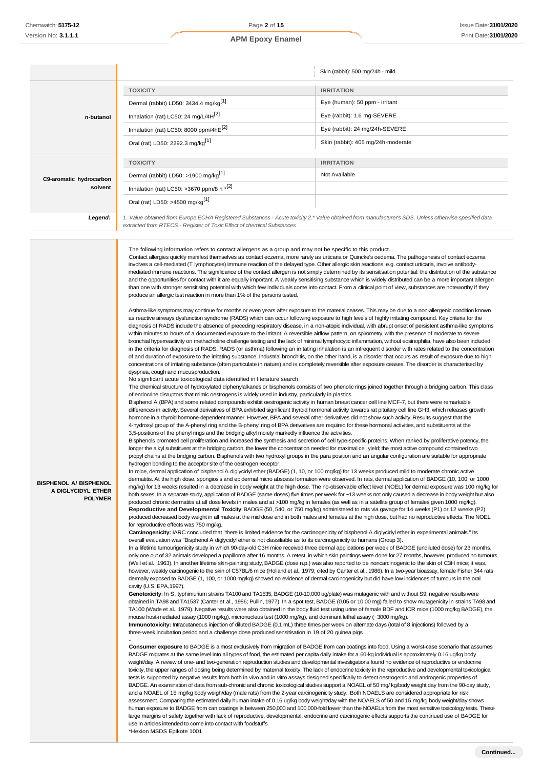**BISPHENOL A/ BISPHENOL A DIGLYCIDYL ETHER POLYMER**

|                         |                                                                                                                                                                                                                                                                                                                                                                                                                                                                                                                                                                                                                                                                                                                                                                                                                                                                                                                                                                                                                                                                                                                                                                | Skin (rabbit): 500 mg/24h - mild   |
|-------------------------|----------------------------------------------------------------------------------------------------------------------------------------------------------------------------------------------------------------------------------------------------------------------------------------------------------------------------------------------------------------------------------------------------------------------------------------------------------------------------------------------------------------------------------------------------------------------------------------------------------------------------------------------------------------------------------------------------------------------------------------------------------------------------------------------------------------------------------------------------------------------------------------------------------------------------------------------------------------------------------------------------------------------------------------------------------------------------------------------------------------------------------------------------------------|------------------------------------|
|                         | <b>TOXICITY</b>                                                                                                                                                                                                                                                                                                                                                                                                                                                                                                                                                                                                                                                                                                                                                                                                                                                                                                                                                                                                                                                                                                                                                | <b>IRRITATION</b>                  |
|                         | Dermal (rabbit) LD50: 3434.4 mg/kg <sup>[1]</sup>                                                                                                                                                                                                                                                                                                                                                                                                                                                                                                                                                                                                                                                                                                                                                                                                                                                                                                                                                                                                                                                                                                              | Eye (human): 50 ppm - irritant     |
| n-butanol               | Inhalation (rat) LC50: 24 mg/L/4H <sup>[2]</sup>                                                                                                                                                                                                                                                                                                                                                                                                                                                                                                                                                                                                                                                                                                                                                                                                                                                                                                                                                                                                                                                                                                               | Eye (rabbit): 1.6 mg-SEVERE        |
|                         | Inhalation (rat) LC50: 8000 ppm/4hE[2]                                                                                                                                                                                                                                                                                                                                                                                                                                                                                                                                                                                                                                                                                                                                                                                                                                                                                                                                                                                                                                                                                                                         | Eye (rabbit): 24 mg/24h-SEVERE     |
|                         | Oral (rat) LD50: 2292.3 mg/kg <sup>[1]</sup>                                                                                                                                                                                                                                                                                                                                                                                                                                                                                                                                                                                                                                                                                                                                                                                                                                                                                                                                                                                                                                                                                                                   | Skin (rabbit): 405 mg/24h-moderate |
|                         | <b>TOXICITY</b>                                                                                                                                                                                                                                                                                                                                                                                                                                                                                                                                                                                                                                                                                                                                                                                                                                                                                                                                                                                                                                                                                                                                                | <b>IRRITATION</b>                  |
| C9-aromatic hydrocarbon | Dermal (rabbit) LD50: >1900 mg/kg <sup>[1]</sup>                                                                                                                                                                                                                                                                                                                                                                                                                                                                                                                                                                                                                                                                                                                                                                                                                                                                                                                                                                                                                                                                                                               | Not Available                      |
| solvent                 | Inhalation (rat) LC50: >3670 ppm/8 h *[2]                                                                                                                                                                                                                                                                                                                                                                                                                                                                                                                                                                                                                                                                                                                                                                                                                                                                                                                                                                                                                                                                                                                      |                                    |
|                         | Oral (rat) LD50: >4500 mg/kg <sup>[1]</sup>                                                                                                                                                                                                                                                                                                                                                                                                                                                                                                                                                                                                                                                                                                                                                                                                                                                                                                                                                                                                                                                                                                                    |                                    |
| Legend:                 | 1. Value obtained from Europe ECHA Registered Substances - Acute toxicity 2.* Value obtained from manufacturer's SDS. Unless otherwise specified data<br>extracted from RTECS - Register of Toxic Effect of chemical Substances                                                                                                                                                                                                                                                                                                                                                                                                                                                                                                                                                                                                                                                                                                                                                                                                                                                                                                                                |                                    |
|                         | The following information refers to contact allergens as a group and may not be specific to this product.<br>Contact allergies quickly manifest themselves as contact eczema, more rarely as urticaria or Quincke's oedema. The pathogenesis of contact eczema<br>involves a cell-mediated (T lymphocytes) immune reaction of the delayed type. Other allergic skin reactions, e.g. contact urticaria, involve antibody-<br>mediated immune reactions. The significance of the contact allergen is not simply determined by its sensitisation potential: the distribution of the substance<br>and the opportunities for contact with it are equally important. A weakly sensitising substance which is widely distributed can be a more important allergen<br>than one with stronger sensitising potential with which few individuals come into contact. From a clinical point of view, substances are noteworthy if they<br>produce an allergic test reaction in more than 1% of the persons tested.<br>Asthma-like symptoms may continue for months or even years after exposure to the material ceases. This may be due to a non-allergenic condition known |                                    |
|                         | as reactive airways dysfunction syndrome (RADS) which can occur following exposure to high levels of highly irritating compound. Key criteria for the<br>diagnosis of RADS include the absence of preceding respiratory disease, in a non-atopic individual, with abrupt onset of persistent asthma-like symptoms<br>rent and the second contract of the contract of the second contract of the second contract of the second contract of the second contract of the second contract of the second contract of the second contract of the second co                                                                                                                                                                                                                                                                                                                                                                                                                                                                                                                                                                                                            |                                    |

within minutes to hours of a documented exposure to the irritant. A reversible airflow pattern, on spirometry, with the presence of moderate to severe bronchial hyperreactivity on methacholine challenge testing and the lack of minimal lymphocytic inflammation, without eosinophilia, have also been included in the criteria for diagnosis of RADS. RADS (or asthma) following an irritating inhalation is an infrequent disorder with rates related to the concentration of and duration of exposure to the irritating substance. Industrial bronchitis, on the other hand, is a disorder that occurs as result of exposure due to high concentrations of irritating substance (often particulate in nature) and is completely reversible after exposure ceases. The disorder is characterised by dyspnea, cough and mucusproduction.

No significant acute toxicological data identified in literature search.

The chemical structure of hydroxylated diphenylalkanes or bisphenols consists of two phenolic rings joined together through a bridging carbon. This class of endocrine disruptors that mimic oestrogens is widely used in industry, particularly in plastics

Bisphenol A (BPA) and some related compounds exhibit oestrogenic activity in human breast cancer cell line MCF-7, but there were remarkable differences in activity. Several derivatives of BPA exhibited significant thyroid hormonal activity towards rat pituitary cell line GH3, which releases growth hormone in a thyroid hormone-dependent manner. However, BPA and several other derivatives did not show such activity. Results suggest that the 4-hydroxyl group of the A-phenyl ring and the B-phenyl ring of BPA derivatives are required for these hormonal activities, and substituents at the 3,5-positions of the phenyl rings and the bridging alkyl moiety markedly influence the activities.

Bisphenols promoted cell proliferation and increased the synthesis and secretion of cell type-specific proteins. When ranked by proliferative potency, the longer the alkyl substituent at the bridging carbon, the lower the concentration needed for maximal cell yield; the most active compound contained two propyl chains at the bridging carbon. Bisphenols with two hydroxyl groups in the para position and an angular configuration are suitable for appropriate hydrogen bonding to the acceptor site of the oestrogen receptor.

In mice, dermal application of bisphenol A diglycidyl ether (BADGE) (1, 10, or 100 mg/kg) for 13 weeks produced mild to moderate chronic active dermatitis. At the high dose, spongiosis and epidermal micro abscess formation were observed. In rats, dermal application of BADGE (10, 100, or 1000 mg/kg) for 13 weeks resulted in a decrease in body weight at the high dose. The no-observable effect level (NOEL) for dermal exposure was 100 mg/kg for both sexes. In a separate study, application of BADGE (same doses) five times per week for ~13 weeks not only caused a decrease in body weight but also produced chronic dermatitis at all dose levels in males and at >100 mg/kg in females (as well as in a satellite group of females given 1000 mg/kg). **Reproductive and Developmental Toxicity**: BADGE (50, 540, or 750 mg/kg) administered to rats via gavage for 14 weeks (P1) or 12 weeks (P2) produced decreased body weight in all males at the mid dose and in both males and females at the high dose, but had no reproductive effects. The NOEL for reproductive effects was 750 mg/kg.

**Carcinogenicity:** IARC concluded that "there is limited evidence for the carcinogenicity of bisphenol A diglycidyl ether in experimental animals." Its overall evaluation was "Bisphenol A diglycidyl ether is not classifiable as to its carcinogenicity to humans (Group 3).

In a lifetime tumourigenicity study in which 90-day-old C3H mice received three dermal applications per week of BADGE (undiluted dose) for 23 months, only one out of 32 animals developed a papilloma after 16 months. A retest, in which skin paintings were done for 27 months, however, produced no tumours (Weil et al., 1963). In another lifetime skin-painting study, BADGE (dose n.p.) was also reported to be noncarcinogenic to the skin of C3H mice; it was, however, weakly carcinogenic to the skin of C57BL/6 mice (Holland et al., 1979; cited by Canter et al., 1986). In a two-year bioassay, female Fisher 344 rats dermally exposed to BADGE (1, 100, or 1000 mg/kg) showed no evidence of dermal carcinogenicity but did have low incidences of tumours in the oral cavity (U.S. EPA,1997).

**Genotoxicity**: In S. typhimurium strains TA100 and TA1535, BADGE (10-10,000 ug/plate) was mutagenic with and without S9; negative results were obtained in TA98 and TA1537 (Canter et al., 1986; Pullin, 1977). In a spot test, BADGE (0.05 or 10.00 mg) failed to show mutagenicity in strains TA98 and TA100 (Wade et al., 1979). Negative results were also obtained in the body fluid test using urine of female BDF and ICR mice (1000 mg/kg BADGE), the mouse host-mediated assay (1000 mg/kg), micronucleus test (1000 mg/kg), and dominant lethal assay (~3000 mg/kg). **Immunotoxicity:** Intracutaneous injection of diluted BADGE (0.1 mL) three times per week on alternate days (total of 8 injections) followed by a three-week incubation period and a challenge dose produced sensitisation in 19 of 20 guinea pigs

**Consumer exposure** to BADGE is almost exclusively from migration of BADGE from can coatings into food. Using a worst-case scenario that assumes BADGE migrates at the same level into all types of food, the estimated per capita daily intake for a 60-kg individual is approximately 0.16 ug/kg body weight/day. A review of one- and two-generation reproduction studies and developmental investigations found no evidence of reproductive or endocrine toxicity, the upper ranges of dosing being determined by maternal toxicity. The lack of endocrine toxicity in the reproductive and developmental toxicological tests is supported by negative results from both in vivo and in vitro assays designed specifically to detect oestrogenic and androgenic properties of BADGE. An examination of data from sub-chronic and chronic toxicological studies support a NOAEL of 50 mg/ kg/body weight day from the 90-day study, and a NOAEL of 15 mg/kg body weigh/day (male rats) from the 2-year carcinogenicity study. Both NOAELS are considered appropriate for risk assessment. Comparing the estimated daily human intake of 0.16 ug/kg body weight/day with the NOAELS of 50 and 15 mg/kg body weight/day shows human exposure to BADGE from can coatings is between 250,000 and 100,000-fold lower than the NOAELs from the most sensitive toxicology tests. These large margins of safety together with lack of reproductive, developmental, endocrine and carcinogenic effects supports the continued use of BADGE for use in articles intended to come into contact with foodstuffs.

\*Hexion MSDS Epikote 1001

-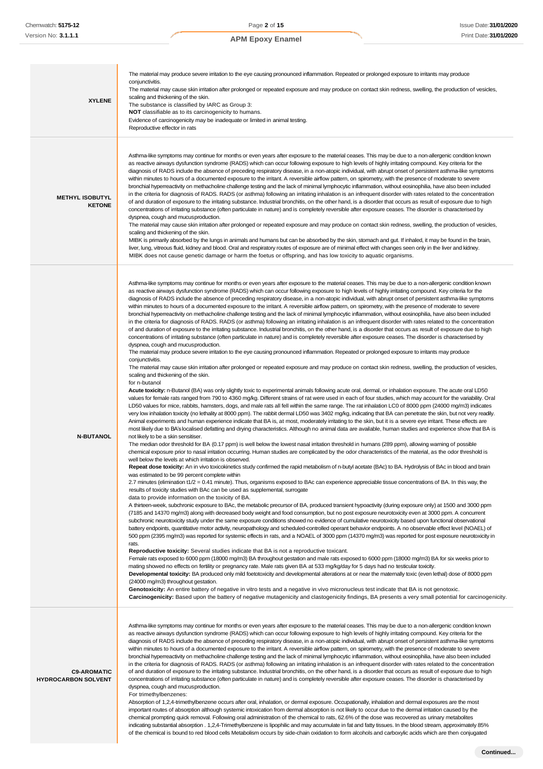|                                                  | The material may produce severe irritation to the eye causing pronounced inflammation. Repeated or prolonged exposure to irritants may produce<br>conjunctivitis.<br>The material may cause skin irritation after prolonged or repeated exposure and may produce on contact skin redness, swelling, the production of vesicles,<br>scaling and thickening of the skin.<br><b>XYLENE</b><br>The substance is classified by IARC as Group 3:<br>NOT classifiable as to its carcinogenicity to humans.<br>Evidence of carcinogenicity may be inadequate or limited in animal testing.<br>Reproductive effector in rats                                                                                                                                                                                                                                                                                                                                                                                                                                                                                                                                                                                                                                                                                                                                                                                                                                                                                                                                                                                                                                                                                                                                                                                                                                                                                                                                                                                                                                                                                                                                                                                                                                                                                                                                                                                                                                                                                                                                                                                                                                                                                                                                                                                                                                                                                                                                                                                                                                                                                                                                                                                                                                                                                                                                                                                                                                                                                                                                                                                                                                                                                                                                                                                                                                                                                                                                                                                                                                                                                                                                                                                                                                                                                                                                                                                                                                                                                                                                                                                                                                                                                                                                                                                                                                                                                                                                                                                                                                                                                                                                                                                                                                                                                                                                              |
|--------------------------------------------------|------------------------------------------------------------------------------------------------------------------------------------------------------------------------------------------------------------------------------------------------------------------------------------------------------------------------------------------------------------------------------------------------------------------------------------------------------------------------------------------------------------------------------------------------------------------------------------------------------------------------------------------------------------------------------------------------------------------------------------------------------------------------------------------------------------------------------------------------------------------------------------------------------------------------------------------------------------------------------------------------------------------------------------------------------------------------------------------------------------------------------------------------------------------------------------------------------------------------------------------------------------------------------------------------------------------------------------------------------------------------------------------------------------------------------------------------------------------------------------------------------------------------------------------------------------------------------------------------------------------------------------------------------------------------------------------------------------------------------------------------------------------------------------------------------------------------------------------------------------------------------------------------------------------------------------------------------------------------------------------------------------------------------------------------------------------------------------------------------------------------------------------------------------------------------------------------------------------------------------------------------------------------------------------------------------------------------------------------------------------------------------------------------------------------------------------------------------------------------------------------------------------------------------------------------------------------------------------------------------------------------------------------------------------------------------------------------------------------------------------------------------------------------------------------------------------------------------------------------------------------------------------------------------------------------------------------------------------------------------------------------------------------------------------------------------------------------------------------------------------------------------------------------------------------------------------------------------------------------------------------------------------------------------------------------------------------------------------------------------------------------------------------------------------------------------------------------------------------------------------------------------------------------------------------------------------------------------------------------------------------------------------------------------------------------------------------------------------------------------------------------------------------------------------------------------------------------------------------------------------------------------------------------------------------------------------------------------------------------------------------------------------------------------------------------------------------------------------------------------------------------------------------------------------------------------------------------------------------------------------------------------------------------------------------------------------------------------------------------------------------------------------------------------------------------------------------------------------------------------------------------------------------------------------------------------------------------------------------------------------------------------------------------------------------------------------------------------------------------------------------------------------------------------------------------------------------------------------------------------------------------------------------------------------------------------------------------------------------------------------------------------------------------------------------------------------------------------------------------------------------------------------------------------------------------------------------------------------------------------------------------------------------------------------------------------------------------------------------------------------|
| <b>METHYL ISOBUTYL</b>                           | Asthma-like symptoms may continue for months or even years after exposure to the material ceases. This may be due to a non-allergenic condition known<br>as reactive airways dysfunction syndrome (RADS) which can occur following exposure to high levels of highly irritating compound. Key criteria for the<br>diagnosis of RADS include the absence of preceding respiratory disease, in a non-atopic individual, with abrupt onset of persistent asthma-like symptoms<br>within minutes to hours of a documented exposure to the irritant. A reversible airflow pattern, on spirometry, with the presence of moderate to severe<br>bronchial hyperreactivity on methacholine challenge testing and the lack of minimal lymphocytic inflammation, without eosinophilia, have also been included<br>in the criteria for diagnosis of RADS. RADS (or asthma) following an irritating inhalation is an infrequent disorder with rates related to the concentration<br>of and duration of exposure to the irritating substance. Industrial bronchitis, on the other hand, is a disorder that occurs as result of exposure due to high<br><b>KETONE</b><br>concentrations of irritating substance (often particulate in nature) and is completely reversible after exposure ceases. The disorder is characterised by<br>dyspnea, cough and mucus production.<br>The material may cause skin irritation after prolonged or repeated exposure and may produce on contact skin redness, swelling, the production of vesicles,<br>scaling and thickening of the skin.<br>MIBK is primarily absorbed by the lungs in animals and humans but can be absorbed by the skin, stomach and gut. If inhaled, it may be found in the brain,<br>liver, lung, vitreous fluid, kidney and blood. Oral and respiratory routes of exposure are of minimal effect with changes seen only in the liver and kidney.<br>MIBK does not cause genetic damage or harm the foetus or offspring, and has low toxicity to aquatic organisms.                                                                                                                                                                                                                                                                                                                                                                                                                                                                                                                                                                                                                                                                                                                                                                                                                                                                                                                                                                                                                                                                                                                                                                                                                                                                                                                                                                                                                                                                                                                                                                                                                                                                                                                                                                                                                                                                                                                                                                                                                                                                                                                                                                                                                                                                                                                                                                                                                                                                                                                                                                                                                                                                                                                                                                                                                                                                                                                                                                                                                                                                                                                                                                                                                                                                                                                                                  |
| <b>N-BUTANOL</b>                                 | Asthma-like symptoms may continue for months or even years after exposure to the material ceases. This may be due to a non-allergenic condition known<br>as reactive airways dysfunction syndrome (RADS) which can occur following exposure to high levels of highly irritating compound. Key criteria for the<br>diagnosis of RADS include the absence of preceding respiratory disease, in a non-atopic individual, with abrupt onset of persistent asthma-like symptoms<br>within minutes to hours of a documented exposure to the irritant. A reversible airflow pattern, on spirometry, with the presence of moderate to severe<br>bronchial hyperreactivity on methacholine challenge testing and the lack of minimal lymphocytic inflammation, without eosinophilia, have also been included<br>in the criteria for diagnosis of RADS. RADS (or asthma) following an irritating inhalation is an infrequent disorder with rates related to the concentration<br>of and duration of exposure to the initating substance. Industrial bronchitis, on the other hand, is a disorder that occurs as result of exposure due to high<br>concentrations of irritating substance (often particulate in nature) and is completely reversible after exposure ceases. The disorder is characterised by<br>dyspnea, cough and mucus production.<br>The material may produce severe irritation to the eye causing pronounced inflammation. Repeated or prolonged exposure to irritants may produce<br>conjunctivitis.<br>The material may cause skin irritation after prolonged or repeated exposure and may produce on contact skin redness, swelling, the production of vesicles,<br>scaling and thickening of the skin.<br>for n-butanol<br>Acute toxicity: n-Butanol (BA) was only slightly toxic to experimental animals following acute oral, dermal, or inhalation exposure. The acute oral LD50<br>values for female rats ranged from 790 to 4360 mg/kg. Different strains of rat were used in each of four studies, which may account for the variability. Oral<br>LD50 values for mice, rabbits, hamsters, dogs, and male rats all fell within the same range. The rat inhalation LC0 of 8000 ppm (24000 mg/m3) indicates<br>very low inhalation toxicity (no lethality at 8000 ppm). The rabbit dermal LD50 was 3402 mg/kg, indicating that BA can penetrate the skin, but not very readily.<br>Animal experiments and human experience indicate that BA is, at most, moderately irritating to the skin, but it is a severe eye irritant. These effects are<br>most likely due to BA's localised defatting and drying characteristics. Although no animal data are available, human studies and experience show that BA is<br>not likely to be a skin sensitiser.<br>The median odor threshold for BA (0.17 ppm) is well below the lowest nasal irritation threshold in humans (289 ppm), allowing warning of possible<br>chemical exposure prior to nasal irritation occurring. Human studies are complicated by the odor characteristics of the material, as the odor threshold is<br>well below the levels at which irritation is observed.<br>Repeat dose toxicity: An in vivo toxicokinetics study confirmed the rapid metabolism of n-butyl acetate (BAc) to BA. Hydrolysis of BAc in blood and brain<br>was estimated to be 99 percent complete within<br>2.7 minutes (elimination t1/2 = 0.41 minute). Thus, organisms exposed to BAc can experience appreciable tissue concentrations of BA. In this way, the<br>results of toxicity studies with BAc can be used as supplemental, surrogate<br>data to provide information on the toxicity of BA.<br>A thirteen-week, subchronic exposure to BAc, the metabolic precursor of BA, produced transient hypoactivity (during exposure only) at 1500 and 3000 ppm<br>(7185 and 14370 mg/m3) along with decreased body weight and food consumption, but no post exposure neurotoxicity even at 3000 ppm. A concurrent<br>subchronic neurotoxicity study under the same exposure conditions showed no evidence of cumulative neurotoxicity based upon functional observational<br>battery endpoints, quantitative motor activity, neuropathology and scheduled-controlled operant behavior endpoints. A no observable effect level (NOAEL) of<br>500 ppm (2395 mg/m3) was reported for systemic effects in rats, and a NOAEL of 3000 ppm (14370 mg/m3) was reported for post exposure neurotoxicity in<br>rats.<br>Reproductive toxicity: Several studies indicate that BA is not a reproductive toxicant.<br>Female rats exposed to 6000 ppm (18000 mg/m3) BA throughout gestation and male rats exposed to 6000 ppm (18000 mg/m3) BA for six weeks prior to<br>mating showed no effects on fertility or pregnancy rate. Male rats given BA at 533 mg/kg/day for 5 days had no testicular toxicity.<br>Developmental toxicity: BA produced only mild foetotoxicity and developmental alterations at or near the matemally toxic (even lethal) dose of 8000 ppm<br>(24000 mg/m3) throughout gestation.<br>Genotoxicity: An entire battery of negative in vitro tests and a negative in vivo micronucleus test indicate that BA is not genotoxic.<br>Carcinogenicity: Based upon the battery of negative mutagenicity and clastogenicity findings, BA presents a very small potential for carcinogenicity. |
| <b>C9-AROMATIC</b><br><b>HYDROCARBON SOLVENT</b> | Asthma-like symptoms may continue for months or even years after exposure to the material ceases. This may be due to a non-allergenic condition known<br>as reactive airways dysfunction syndrome (RADS) which can occur following exposure to high levels of highly irritating compound. Key criteria for the<br>diagnosis of RADS include the absence of preceding respiratory disease, in a non-atopic individual, with abrupt onset of persistent asthma-like symptoms<br>within minutes to hours of a documented exposure to the irritant. A reversible airflow pattern, on spirometry, with the presence of moderate to severe<br>bronchial hyperreactivity on methacholine challenge testing and the lack of minimal lymphocytic inflammation, without eosinophilia, have also been included<br>in the criteria for diagnosis of RADS. RADS (or asthma) following an irritating inhalation is an infrequent disorder with rates related to the concentration<br>of and duration of exposure to the initating substance. Industrial bronchitis, on the other hand, is a disorder that occurs as result of exposure due to high<br>concentrations of irritating substance (often particulate in nature) and is completely reversible after exposure ceases. The disorder is characterised by<br>dyspnea, cough and mucus production.<br>For trimethylbenzenes:<br>Absorption of 1,2,4-trimethylbenzene occurs after oral, inhalation, or dermal exposure. Occupationally, inhalation and dermal exposures are the most<br>important routes of absorption although systemic intoxication from dermal absorption is not likely to occur due to the dermal irritation caused by the<br>chemical prompting quick removal. Following oral administration of the chemical to rats, 62.6% of the dose was recovered as urinary metabolites<br>indicating substantial absorption . 1,2,4-Trimethylbenzene is lipophilic and may accumulate in fat and fatty tissues. In the blood stream, approximately 85%                                                                                                                                                                                                                                                                                                                                                                                                                                                                                                                                                                                                                                                                                                                                                                                                                                                                                                                                                                                                                                                                                                                                                                                                                                                                                                                                                                                                                                                                                                                                                                                                                                                                                                                                                                                                                                                                                                                                                                                                                                                                                                                                                                                                                                                                                                                                                                                                                                                                                                                                                                                                                                                                                                                                                                                                                                                                                                                                                                                                                                                                                                                                                                                                                                                                                                                                                         |

of the chemical is bound to red blood cells Metabolism occurs by side-chain oxidation to form alcohols and carboxylic acids which are then conjugated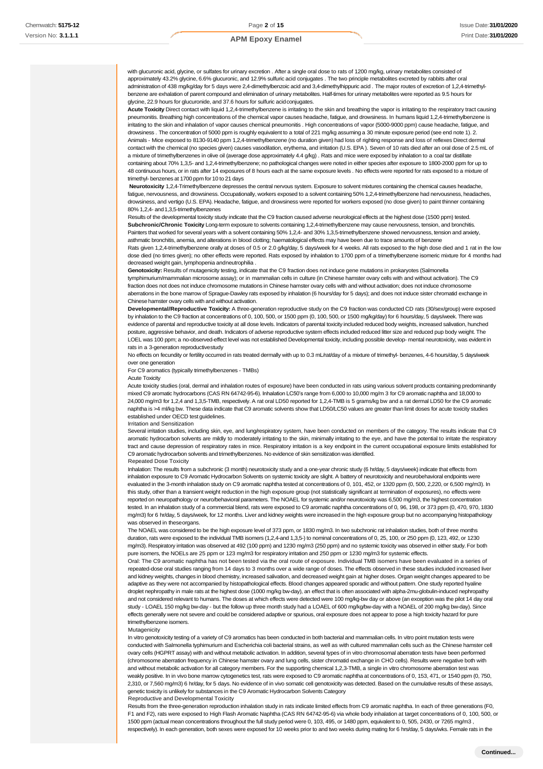with glucuronic acid, glycine, or sulfates for urinary excretion . After a single oral dose to rats of 1200 mg/kg, urinary metabolites consisted of approximately 43.2% glycine, 6.6% glucuronic, and 12.9% sulfuric acid conjugates . The two principle metabolites excreted by rabbits after oral administration of 438 mg/kg/day for 5 days were 2,4-dimethylbenzoic acid and 3,4-dimethylhippuric acid . The major routes of excretion of 1,2,4-trimethylbenzene are exhalation of parent compound and elimination of urinary metabolites. Half-times for urinary metabolites were reported as 9.5 hours for glycine, 22.9 hours for glucuronide, and 37.6 hours for sulfuric acidconjugates.

**Acute Toxicity** Direct contact with liquid 1,2,4-trimethylbenzene is irritating to the skin and breathing the vapor is irritating to the respiratory tract causing pneumonitis. Breathing high concentrations of the chemical vapor causes headache, fatigue, and drowsiness. In humans liquid 1,2,4-trimethylbenzene is irritating to the skin and inhalation of vapor causes chemical pneumonitis . High concentrations of vapor (5000-9000 ppm) cause headache, fatigue, and drowsiness . The concentration of 5000 ppm is roughly equivalent to a total of 221 mg/kg assuming a 30 minute exposure period (see end note 1). 2. Animals - Mice exposed to 8130-9140 ppm 1,2,4-trimethylbenzene (no duration given) had loss of righting response and loss of reflexes Direct dermal contact with the chemical (no species given) causes vasodilation, erythema, and irritation (U.S. EPA ). Seven of 10 rats died after an oral dose of 2.5 mL of a mixture of trimethylbenzenes in olive oil (average dose approximately 4.4 g/kg) . Rats and mice were exposed by inhalation to a coal tar distillate containing about 70% 1,3,5- and 1,2,4-trimethylbenzene; no pathological changes were noted in either species after exposure to 1800-2000 ppm for up to 48 continuous hours, or in rats after 14 exposures of 8 hours each at the same exposure levels . No effects were reported for rats exposed to a mixture of trimethyl- benzenes at 1700 ppm for 10 to 21 days

**Neurotoxicity** 1,2,4-Trimethylbenzene depresses the central nervous system. Exposure to solvent mixtures containing the chemical causes headache, fatigue, nervousness, and drowsiness. Occupationally, workers exposed to a solvent containing 50% 1,2,4-trimethylbenzene had nervousness, headaches, drowsiness, and vertigo (U.S. EPA). Headache, fatigue, and drowsiness were reported for workers exposed (no dose given) to paint thinner containing 80% 1,2,4- and 1,3,5-trimethylbenzenes

Results of the developmental toxicity study indicate that the C9 fraction caused adverse neurological effects at the highest dose (1500 ppm) tested. Subchronic/Chronic Toxicity Long-term exposure to solvents containing 1,2,4-trimethylbenzene may cause nervousness, tension, and bronchitis. Painters that worked for several years with a solvent containing 50% 1,2,4- and 30% 1,3,5-trimethylbenzene showed nervousness, tension and anxiety, asthmatic bronchitis, anemia, and alterations in blood clotting; haematological effects may have been due to trace amounts of benzene

Rats given 1,2,4-trimethylbenzene orally at doses of 0.5 or 2.0 g/kg/day, 5 days/week for 4 weeks. All rats exposed to the high dose died and 1 rat in the low dose died (no times given); no other effects were reported. Rats exposed by inhalation to 1700 ppm of a trimethylbenzene isomeric mixture for 4 months had decreased weight gain, lymphopenia andneutrophilia .

Genotoxicity: Results of mutagenicity testing, indicate that the C9 fraction does not induce gene mutations in prokaryotes (Salmonella tymphimurium/mammalian microsome assay); or in mammalian cells in culture (in Chinese hamster ovary cells with and without activation). The C9 fraction does not does not induce chromosome mutations in Chinese hamster ovary cells with and without activation; does not induce chromosome aberrations in the bone marrow of Sprague-Dawley rats exposed by inhalation (6 hours/day for 5 days); and does not induce sister chromatid exchange in Chinese hamster ovary cells with and without activation.

**Developmental/Reproductive Toxicity:** A three-generation reproductive study on the C9 fraction was conducted CD rats (30/sex/group) were exposed by inhalation to the C9 fraction at concentrations of 0, 100, 500, or 1500 ppm (0, 100, 500, or 1500 mg/kg/day) for 6 hours/day, 5 days/week. There was evidence of parental and reproductive toxicity at all dose levels. Indicators of parental toxicity included reduced body weights, increased salivation, hunched posture, aggressive behavior, and death. Indicators of adverse reproductive system effects included reduced litter size and reduced pup body weight. The LOEL was 100 ppm; a no-observed-effect level was not established Developmental toxicity, including possible develop- mental neurotoxicity, was evident in rats in a 3-generation reproductive study

No effects on fecundity or fertility occurred in rats treated dermally with up to 0.3 mL/rat/day of a mixture of trimethyl- benzenes, 4-6 hours/day, 5 days/week over one generation

For C9 aromatics (typically trimethylbenzenes - TMBs)

Acute Toxicity

Acute toxicity studies (oral, dermal and inhalation routes of exposure) have been conducted in rats using various solvent products containing predominantly mixed C9 aromatic hydrocarbons (CAS RN 64742-95-6). Inhalation LC50's range from 6,000 to 10,000 mg/m 3 for C9 aromatic naphtha and 18,000 to 24,000 mg/m3 for 1,2,4 and 1,3,5-TMB, respectively. A rat oral LD50 reported for 1,2,4-TMB is 5 grams/kg bw and a rat dermal LD50 for the C9 aromatic naphtha is >4 ml/kg bw. These data indicate that C9 aromatic solvents show that LD50/LC50 values are greater than limit doses for acute toxicity studies established under OECD test guidelines.

#### Irritation and Sensitization

Several irritation studies, including skin, eye, and lung/respiratory system, have been conducted on members of the category. The results indicate that C9 aromatic hydrocarbon solvents are mildly to moderately irritating to the skin, minimally irritating to the eye, and have the potential to irritate the respiratory tract and cause depression of respiratory rates in mice. Respiratory irritation is a key endpoint in the current occupational exposure limits established for C9 aromatic hydrocarbon solvents and trimethylbenzenes. No evidence of skin sensitization was identified.

#### Repeated Dose Toxicity

Inhalation: The results from a subchronic (3 month) neurotoxicity study and a one-year chronic study (6 hr/day, 5 days/week) indicate that effects from inhalation exposure to C9 Aromatic Hydrocarbon Solvents on systemic toxicity are slight. A battery of neurotoxicity and neurobehavioral endpoints were evaluated in the 3-month inhalation study on C9 aromatic naphtha tested at concentrations of 0, 101, 452, or 1320 ppm (0, 500, 2,220, or 6,500 mg/m3). In this study, other than a transient weight reduction in the high exposure group (not statistically significant at termination of exposures), no effects were reported on neuropathology or neuro/behavioral parameters. The NOAEL for systemic and/or neurotoxicity was 6,500 mg/m3, the highest concentration sted. In an inhalation study of a commercial blend, rats were exposed to C9 aromatic naphtha concentrations of 0, 96, 198, or 373 ppm (0, 470, 970, 1830 mg/m3) for 6 hr/day, 5 days/week, for 12 months. Liver and kidney weights were increased in the high exposure group but no accompanying histopathology was observed in theseorgans.

The NOAEL was considered to be the high exposure level of 373 ppm, or 1830 mg/m3. In two subchronic rat inhalation studies, both of three months duration, rats were exposed to the individual TMB isomers (1,2,4-and 1,3,5-) to nominal concentrations of 0, 25, 100, or 250 ppm (0, 123, 492, or 1230 mg/m3). Respiratory irritation was observed at 492 (100 ppm) and 1230 mg/m3 (250 ppm) and no systemic toxicity was observed in either study. For both pure isomers, the NOELs are 25 ppm or 123 mg/m3 for respiratory irritation and 250 ppm or 1230 mg/m3 for systemic effects.

Oral: The C9 aromatic naphtha has not been tested via the oral route of exposure. Individual TMB isomers have been evaluated in a series of repeated-dose oral studies ranging from 14 days to 3 months over a wide range of doses. The effects observed in these studies included increased liver and kidney weights, changes in blood chemistry, increased salivation, and decreased weight gain at higher doses. Organ weight changes appeared to be adaptive as they were not accompanied by histopathological effects. Blood changes appeared sporadic and without pattern. One study reported hyaline droplet nephropathy in male rats at the highest dose (1000 mg/kg bw-day), an effect that is often associated with alpha-2mu-globulin-induced nephropathy and not considered relevant to humans. The doses at which effects were detected were 100 mg/kg-bw day or above (an exception was the pilot 14 day oral study - LOAEL 150 mg/kg bw-day - but the follow up three month study had a LOAEL of 600 mg/kg/bw-day with a NOAEL of 200 mg/kg bw-day). Since effects generally were not severe and could be considered adaptive or spurious, oral exposure does not appear to pose a high toxicity hazard for pure trimethylbenzene isomers.

#### Mutagenicity

In vitro genotoxicity testing of a variety of C9 aromatics has been conducted in both bacterial and mammalian cells. In vitro point mutation tests were conducted with Salmonella typhimurium and Escherichia coli bacterial strains, as well as with cultured mammalian cells such as the Chinese hamster cell ovary cells (HGPRT assay) with and without metabolic activation. In addition, several types of in vitro chromosomal aberration tests have been performed (chromosome aberration frequency in Chinese hamster ovary and lung cells, sister chromatid exchange in CHO cells). Results were negative both with and without metabolic activation for all category members. For the supporting chemical 1,2,3-TMB, a single in vitro chromosome aberration test was weakly positive. In in vivo bone marrow cytogenetics test, rats were exposed to C9 aromatic naphtha at concentrations of 0, 153, 471, or 1540 ppm (0, 750, 2,310, or 7,560 mg/m3) 6 hr/day, for 5 days. No evidence of in vivo somatic cell genotoxicity was detected. Based on the cumulative results of these assays, genetic toxicity is unlikely for substances in the C9 Aromatic Hydrocarbon Solvents Category

#### Reproductive and Developmental Toxicity

Results from the three-generation reproduction inhalation study in rats indicate limited effects from C9 aromatic naphtha. In each of three generations (F0, F1 and F2), rats were exposed to High Flash Aromatic Naphtha (CAS RN 64742-95-6) via whole body inhalation at target concentrations of 0, 100, 500, or 1500 ppm (actual mean concentrations throughout the full study period were 0, 103, 495, or 1480 ppm, equivalent to 0, 505, 2430, or 7265 mg/m3 , respectively). In each generation, both sexes were exposed for 10 weeks prior to and two weeks during mating for 6 hrs/day, 5 days/wks. Female rats in the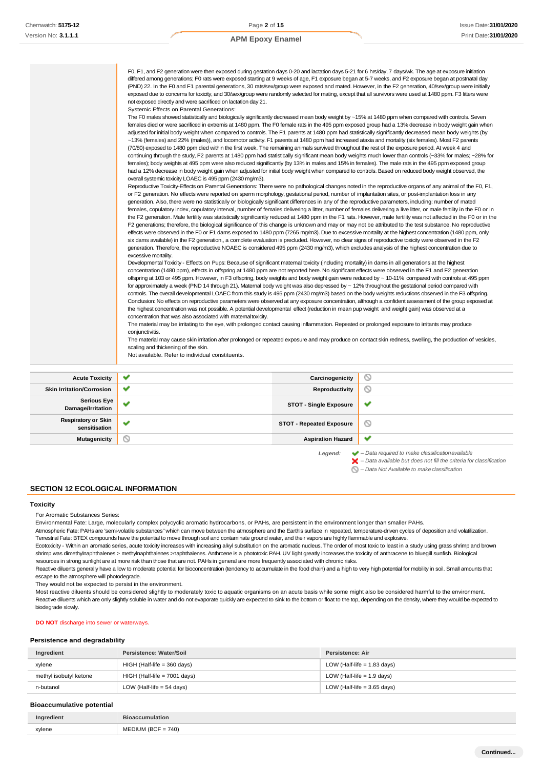#### F0, F1, and F2 generation were then exposed during gestation days 0-20 and lactation days 5-21 for 6 hrs/day, 7 days/wk. The age at exposure initiation differed among generations; F0 rats were exposed starting at 9 weeks of age, F1 exposure began at 5-7 weeks, and F2 exposure began at postnatal day (PND) 22. In the F0 and F1 parental generations, 30 rats/sex/group were exposed and mated. However, in the F2 generation, 40/sex/group were initially exposed due to concerns for toxicity, and 30/sex/group were randomly selected for mating, except that all survivors were used at 1480 ppm. F3 litters were not exposed directly and were sacrificed on lactation day 21. Systemic Effects on Parental Generations: The F0 males showed statistically and biologically significantly decreased mean body weight by ~15% at 1480 ppm when compared with controls. Seven females died or were sacrificed in extremis at 1480 ppm. The F0 female rats in the 495 ppm exposed group had a 13% decrease in body weight gain when adjusted for initial body weight when compared to controls. The F1 parents at 1480 ppm had statistically significantly decreased mean body weights (by ~13% (females) and 22% (males)), and locomotor activity. F1 parents at 1480 ppm had increased ataxia and mortality (six females). Most F2 parents (70/80) exposed to 1480 ppm died within the first week. The remaining animals survived throughout the rest of the exposure period. At week 4 and continuing through the study, F2 parents at 1480 ppm had statistically significant mean body weights much lower than controls (~33% for males; ~28% for females); body weights at 495 ppm were also reduced significantly (by 13% in males and 15% in females). The male rats in the 495 ppm exposed group had a 12% decrease in body weight gain when adjusted for initial body weight when compared to controls. Based on reduced body weight observed, the overall systemic toxicity LOAEC is 495 ppm (2430 mg/m3). Reproductive Toxicity-Effects on Parental Generations: There were no pathological changes noted in the reproductive organs of any animal of the F0, F1, or F2 generation. No effects were reported on sperm morphology, gestational period, number of implantation sites, or post-implantation loss in any generation. Also, there were no statistically or biologically significant differences in any of the reproductive parameters, including: number of mated females, copulatory index, copulatory interval, number of females delivering a litter, number of females delivering a live litter, or male fertility in the F0 or in the F2 generation. Male fertility was statistically significantly reduced at 1480 ppm in the F1 rats. However, male fertility was not affected in the F0 or in the F2 generations; therefore, the biological significance of this change is unknown and may or may not be attributed to the test substance. No reproductive effects were observed in the F0 or F1 dams exposed to 1480 ppm (7265 mg/m3). Due to excessive mortality at the highest concentration (1480 ppm, only six dams available) in the F2 generation,, a complete evaluation is precluded. However, no clear signs of reproductive toxicity were observed in the F2 generation. Therefore, the reproductive NOAEC is considered 495 ppm (2430 mg/m3), which excludes analysis of the highest concentration due to excessive mortality. Developmental Toxicity - Effects on Pups: Because of significant maternal toxicity (including mortality) in dams in all generations at the highest concentration (1480 ppm), effects in offspring at 1480 ppm are not reported here. No significant effects were observed in the F1 and F2 generation offspring at 103 or 495 ppm. However, in F3 offspring, body weights and body weight gain were reduced by ~ 10-11% compared with controls at 495 ppm for approximately a week (PND 14 through 21). Maternal body weight was also depressed by ~ 12% throughout the gestational period compared with controls. The overall developmental LOAEC from this study is 495 ppm (2430 mg/m3) based on the body weights reductions observed in the F3 offspring. Conclusion: No effects on reproductive parameters were observed at any exposure concentration, although a confident assessment of the group exposed at the highest concentration was not possible. A potential developmental effect (reduction in mean pup weight and weight gain) was observed at a concentration that was also associated with maternaltoxicity. The material may be irritating to the eye, with prolonged contact causing inflammation. Repeated or prolonged exposure to irritants may produce conjunctivitis. The material may cause skin irritation after prolonged or repeated exposure and may produce on contact skin redness, swelling, the production of vesicles, scaling and thickening of the skin. Not available. Refer to individual constituents.

| <b>Acute Toxicity</b>                       | ╰            | Carcinogenicity                 | $\circledcirc$                                                         |
|---------------------------------------------|--------------|---------------------------------|------------------------------------------------------------------------|
| <b>Skin Irritation/Corrosion</b>            | $\checkmark$ | Reproductivity                  | $\circledcirc$                                                         |
| Serious Eye<br>Damage/Irritation            | $\checkmark$ | <b>STOT - Single Exposure</b>   | v                                                                      |
| <b>Respiratory or Skin</b><br>sensitisation | $\checkmark$ | <b>STOT - Repeated Exposure</b> | $\circledcirc$                                                         |
| Mutagenicity                                | $\circ$      | <b>Aspiration Hazard</b>        | v                                                                      |
|                                             |              | Legend:                         | $\blacktriangleright$ - Data required to make classification available |

*– Data available but does not fill the criteria for classification*

**Continued...**

*– Data Not Available to makeclassification*

**SECTION 12 ECOLOGICAL INFORMATION**

#### **Toxicity**

For Aromatic Substances Series:

Environmental Fate: Large, molecularly complex polycyclic aromatic hydrocarbons, or PAHs, are persistent in the environment longer than smaller PAHs.

Atmospheric Fate: PAHs are 'semi-volatile substances" which can move between the atmosphere and the Earth's surface in repeated, temperature-driven cycles of deposition and volatilization. Terrestrial Fate: BTEX compounds have the potential to move through soil and contaminate ground water, and their vapors are highly flammable and explosive.

Ecotoxicity - Within an aromatic series, acute toxicity increases with increasing alkyl substitution on the aromatic nucleus. The order of most toxic to least in a study using grass shrimp and brown shrimp was dimethylnaphthalenes > methylnaphthalenes >naphthalenes. Anthrcene is a phototoxic PAH. UV light greatly increases the toxicity of anthracene to bluegill sunfish. Biological resources in strong sunlight are at more risk than those that are not. PAHs in general are more frequently associated with chronic risks.

Reactive diluents generally have a low to moderate potential for bioconcentration (tendency to accumulate in the food chain) and a high to very high potential for mobility in soil. Small amounts that escape to the atmosphere will photodegrade.

They would not be expected to persist in the environment.

Most reactive diluents should be considered slightly to moderately toxic to aquatic organisms on an acute basis while some might also be considered harmful to the environment. Reactive diluents which are only slightly soluble in water and do not evaporate quickly are expected to sink to the bottom or float to the top, depending on the density, where they would be expected to biodegrade slowly.

**DO NOT** discharge into sewer or waterways.

#### **Persistence and degradability**

| Ingredient             | Persistence: Water/Soil        | Persistence: Air              |
|------------------------|--------------------------------|-------------------------------|
| xylene                 | HIGH (Half-life = 360 days)    | LOW (Half-life $= 1.83$ days) |
| methyl isobutyl ketone | $HIGH$ (Half-life = 7001 days) | LOW (Half-life $= 1.9$ days)  |
| n-butanol              | LOW (Half-life $= 54$ days)    | LOW (Half-life $=$ 3.65 days) |

## **Bioaccumulative potential**

| Ingredient | <b>Bioaccumulation</b> |
|------------|------------------------|
| xylene     | $MEDIUM (BCF = 740)$   |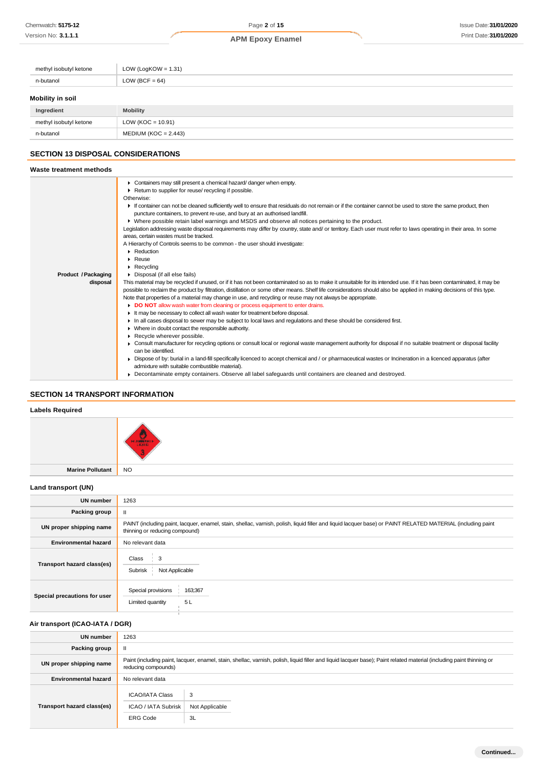| methyl isobutyl ketone | LOW (LogKOW = $1.31$ ) |
|------------------------|------------------------|
| n-butanol              | LOW (BCF = $64$ )      |
| Mobility in soil       |                        |
| Ingredient             | <b>Mobility</b>        |
| methyl isobutyl ketone | $LOW (KOC = 10.91)$    |

## **SECTION 13 DISPOSAL CONSIDERATIONS**

n-butanol MEDIUM (KOC = 2.443)

#### **Waste treatment methods** Containers may still present a chemical hazard/ danger when empty. Return to supplier for reuse/ recycling if possible. Otherwise: If container can not be cleaned sufficiently well to ensure that residuals do not remain or if the container cannot be used to store the same product, then puncture containers, to prevent re-use, and bury at an authorised landfill. Where possible retain label warnings and MSDS and observe all notices pertaining to the product. Legislation addressing waste disposal requirements may differ by country, state and/ or territory. Each user must refer to laws operating in their area. In some areas, certain wastes must be tracked. A Hierarchy of Controls seems to be common - the user should investigate: **Reduction Reuse** Recycling **Product /Packaging** Disposal (if all else fails) **disposal** This material may be recycled if unused, or if it has not been contaminated so as to make it unsuitable for its intended use. If it has been contaminated, it may be possible to reclaim the product by filtration, distillation or some other means. Shelf life considerations should also be applied in making decisions of this type. Note that properties of a material may change in use, and recycling or reuse may not always be appropriate. **DO NOT** allow wash water from cleaning or process equipment to enter drains. It may be necessary to collect all wash water for treatment before disposal. In all cases disposal to sewer may be subject to local laws and regulations and these should be considered first. Where in doubt contact the responsible authority.  $\mathbf{r}$ Recycle wherever possible. ٠ ▶ Consult manufacturer for recycling options or consult local or regional waste management authority for disposal if no suitable treatment or disposal facility can be identified. Dispose of by: burial in a land-fill specifically licenced to accept chemical and / or pharmaceutical wastes or Incineration in a licenced apparatus (after admixture with suitable combustible material). Decontaminate empty containers. Observe all label safeguards until containers are cleaned and destroyed.

## **SECTION 14 TRANSPORT INFORMATION**

## **Labels Required**



**Marine Pollutant** NO

## **Land transport (UN)**

| <b>UN number</b>             | 1263                                                                                                                                                                                          |
|------------------------------|-----------------------------------------------------------------------------------------------------------------------------------------------------------------------------------------------|
| Packing group                | Ш.                                                                                                                                                                                            |
| UN proper shipping name      | PAINT (including paint, lacquer, enamel, stain, shellac, varnish, polish, liquid filler and liquid lacquer base) or PAINT RELATED MATERIAL (including paint<br>thinning or reducing compound) |
| <b>Environmental hazard</b>  | No relevant data                                                                                                                                                                              |
| Transport hazard class(es)   | Class<br>3<br>Subrisk<br>Not Applicable                                                                                                                                                       |
| Special precautions for user | Special provisions<br>163;367<br>5L<br>Limited quantity                                                                                                                                       |

## **Air transport (ICAO-IATA / DGR)**

| <b>UN number</b>            | 1263                                                                                                                                                                                         |                           |  |
|-----------------------------|----------------------------------------------------------------------------------------------------------------------------------------------------------------------------------------------|---------------------------|--|
| Packing group               | Ш                                                                                                                                                                                            |                           |  |
| UN proper shipping name     | Paint (including paint, lacquer, enamel, stain, shellac, varnish, polish, liquid filler and liquid lacquer base); Paint related material (including paint thinning or<br>reducing compounds) |                           |  |
| <b>Environmental hazard</b> | No relevant data                                                                                                                                                                             |                           |  |
| Transport hazard class(es)  | <b>ICAO/IATA Class</b><br>ICAO / IATA Subrisk<br><b>ERG Code</b>                                                                                                                             | 3<br>Not Applicable<br>3L |  |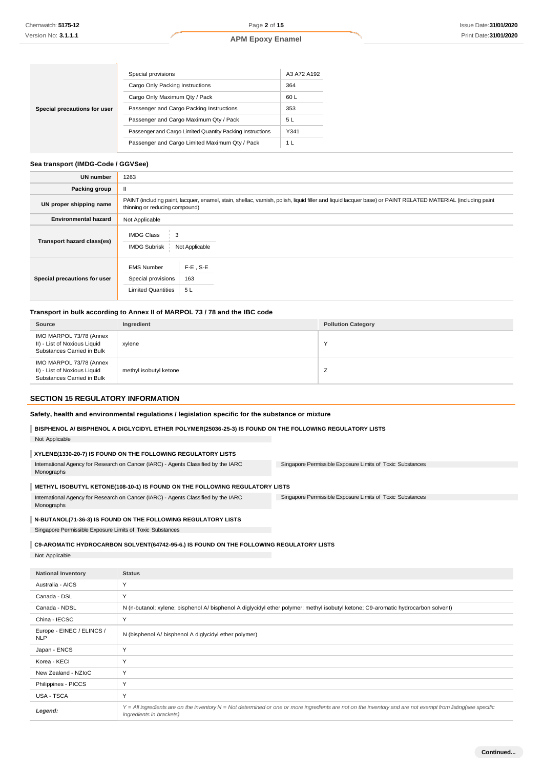|                              | Special provisions                                        | A3 A72 A192 |
|------------------------------|-----------------------------------------------------------|-------------|
|                              | Cargo Only Packing Instructions                           | 364         |
|                              | Cargo Only Maximum Qty / Pack                             | 60 L        |
| Special precautions for user | Passenger and Cargo Packing Instructions                  | 353         |
|                              | Passenger and Cargo Maximum Qty / Pack                    | 5 L         |
|                              | Passenger and Cargo Limited Quantity Packing Instructions | Y341        |
|                              | Passenger and Cargo Limited Maximum Qty / Pack            | 1 L         |

## **Sea transport (IMDG-Code / GGVSee)**

| <b>UN number</b>             | 1263                                                                                                                                                                                          |                          |  |
|------------------------------|-----------------------------------------------------------------------------------------------------------------------------------------------------------------------------------------------|--------------------------|--|
| Packing group                | $\mathbf{I}$                                                                                                                                                                                  |                          |  |
| UN proper shipping name      | PAINT (including paint, lacquer, enamel, stain, shellac, varnish, polish, liquid filler and liquid lacquer base) or PAINT RELATED MATERIAL (including paint<br>thinning or reducing compound) |                          |  |
| <b>Environmental hazard</b>  | Not Applicable                                                                                                                                                                                |                          |  |
| Transport hazard class(es)   | <b>IMDG Class</b><br>3<br><b>IMDG Subrisk</b><br>Not Applicable                                                                                                                               |                          |  |
| Special precautions for user | <b>EMS Number</b><br>Special provisions<br><b>Limited Quantities</b>                                                                                                                          | $F-E$ , S-E<br>163<br>5L |  |

## **Transport in bulk according to Annex II of MARPOL 73 / 78 and the IBC code**

| Source                                                                                | Ingredient             | <b>Pollution Category</b> |
|---------------------------------------------------------------------------------------|------------------------|---------------------------|
| IMO MARPOL 73/78 (Annex<br>II) - List of Noxious Liquid<br>Substances Carried in Bulk | xylene                 | $\checkmark$              |
| IMO MARPOL 73/78 (Annex<br>II) - List of Noxious Liquid<br>Substances Carried in Bulk | methyl isobutyl ketone |                           |

## **SECTION 15 REGULATORY INFORMATION**

## **Safety, health and environmental regulations / legislation specific for the substance or mixture**

## **BISPHENOL A/ BISPHENOL A DIGLYCIDYL ETHER POLYMER(25036-25-3) IS FOUND ON THE FOLLOWING REGULATORY LISTS**

Not Applicable

## **XYLENE(1330-20-7) IS FOUND ON THE FOLLOWING REGULATORY LISTS**

| International Agency for Research on Cancer (IARC) - Agents Classified by the IARC | Singapore Permissible Exposure Limits of Toxic Substances |  |
|------------------------------------------------------------------------------------|-----------------------------------------------------------|--|
| Monographs                                                                         |                                                           |  |

### **METHYL ISOBUTYL KETONE(108-10-1) IS FOUND ON THE FOLLOWING REGULATORY LISTS**

Singapore Permissible Exposure Limits of Toxic Substances International Agency for Research on Cancer (IARC) - Agents Classified by the IARC Monographs

## **N-BUTANOL(71-36-3) IS FOUND ON THE FOLLOWING REGULATORY LISTS**

Singapore Permissible Exposure Limits of Toxic Substances

## **C9-AROMATIC HYDROCARBON SOLVENT(64742-95-6.) IS FOUND ON THE FOLLOWING REGULATORY LISTS**

Not Applicable

| <b>National Inventory</b>               | <b>Status</b>                                                                                                                                                                            |  |  |
|-----------------------------------------|------------------------------------------------------------------------------------------------------------------------------------------------------------------------------------------|--|--|
| Australia - AICS                        | Y                                                                                                                                                                                        |  |  |
| Canada - DSL                            | Y                                                                                                                                                                                        |  |  |
| Canada - NDSL                           | N (n-butanol; xylene; bisphenol A/ bisphenol A diglycidyl ether polymer; methyl isobutyl ketone; C9-aromatic hydrocarbon solvent)                                                        |  |  |
| China - IECSC                           | Y                                                                                                                                                                                        |  |  |
| Europe - EINEC / ELINCS /<br><b>NLP</b> | N (bisphenol A/ bisphenol A diglycidyl ether polymer)                                                                                                                                    |  |  |
| Japan - ENCS                            | Y                                                                                                                                                                                        |  |  |
| Korea - KECI                            | Y                                                                                                                                                                                        |  |  |
| New Zealand - NZIoC                     | Y                                                                                                                                                                                        |  |  |
| Philippines - PICCS                     | Y                                                                                                                                                                                        |  |  |
| <b>USA - TSCA</b>                       | Y                                                                                                                                                                                        |  |  |
| Legend:                                 | Y = All ingredients are on the inventory N = Not determined or one or more ingredients are not on the inventory and are not exempt from listing(see specific<br>ingredients in brackets) |  |  |